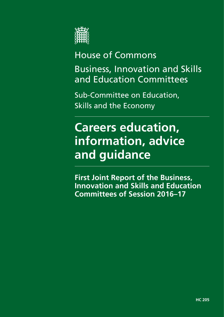

# House of Commons

Business, Innovation and Skills and Education Committees

Sub-Committee on Education, Skills and the Economy

# **Careers education, information, advice and guidance**

**First Joint Report of the Business, Innovation and Skills and Education Committees of Session 2016–17**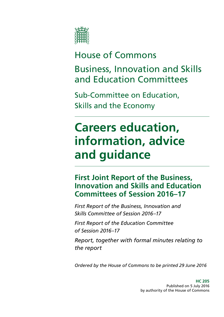

# House of Commons

Business, Innovation and Skills and Education Committees

Sub-Committee on Education, Skills and the Economy

# **Careers education, information, advice and guidance**

### **First Joint Report of the Business, Innovation and Skills and Education Committees of Session 2016–17**

*First Report of the Business, Innovation and Skills Committee of Session 2016–17*

*First Report of the Education Committee of Session 2016–17*

*Report, together with formal minutes relating to the report*

*Ordered by the House of Commons to be printed 29 June 2016*

**HC 205** Published on 5 July 2016 by authority of the House of Commons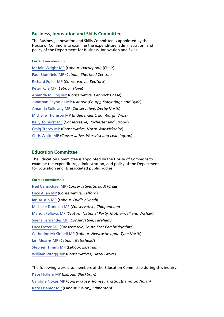#### **Business, Innovation and Skills Committee**

The Business, Innovation and Skills Committee is appointed by the House of Commons to examine the expenditure, administration, and policy of the Department for Business, Innovation and Skills.

#### **Current membership**

[Mr Iain Wright](http://www.parliament.uk/biographies/commons/mr-iain-wright/1478) MP (*Labour, Hartlepool*) (Chair) [Paul Blomfield](http://www.parliament.uk/biographies/commons/paul-blomfield/4058) MP (*Labour, Sheffield* Central) [Richard Fuller](http://www.parliament.uk/biographies/commons/richard-fuller/3912) MP (*Conservative, Bedford*) [Peter Kyle](http://www.parliament.uk/biographies/commons/peter-kyle/4505) MP (*Labour, Hove*) [Amanda Milling](http://www.parliament.uk/biographies/commons/amanda-milling/4454) MP (*Conservative, Cannock Chase*) [Jonathan Reynolds](http://www.parliament.uk/biographies/commons/jonathan-reynolds/4119) MP (*Labour (Co-op), Stalybridge and Hyde*) [Amanda Solloway](http://www.parliament.uk/biographies/commons/amanda-solloway/4372) MP (*Conservative, Derby North*) [Michelle Thomson](http://www.parliament.uk/biographies/commons/michelle-thomson/4422) MP (*Independent, Edinburgh West*) [Kelly Tolhurst](http://www.parliament.uk/biographies/commons/kelly-tolhurst/4487) MP (*Conservative, Rochester and Strood*) [Craig Tracey](http://www.parliament.uk/biographies/commons/craig-tracey/4509) MP (*Conservative, North Warwickshire*) [Chris White](http://www.parliament.uk/biographies/commons/chris-white/4114) MP (*Conservative, Warwick and Leamington*)

#### **Education Committee**

The Education Committee is appointed by the House of Commons to examine the expenditure, administration, and policy of the Department for Education and its associated public bodies.

#### **Current membership**

[Neil Carmichael MP](http://www.parliament.uk/biographies/commons/neil-carmichael/4104) (*Conservative, Stroud)* (Chair) [Lucy Allan MP](http://www.parliament.uk/biographies/commons/lucy-allan/4411) (*Conservative, Telford*) [Ian Austin MP](http://www.parliament.uk/biographies/commons/ian-austin/1511) (*Labour, Dudley North*) [Michelle Donelan MP](http://www.parliament.uk/biographies/commons/michelle-donelan/4530) (*Conservative, Chippenham*) [Marion Fellows MP](http://www.parliament.uk/biographies/commons/marion-fellows/4440) (*Scottish National Party, Motherwell and Wishaw*) [Suella Fernandes MP](http://www.parliament.uk/biographies/commons/suella-fernandes/4475) (*Conservative, Fareham)* [Lucy Frazer MP](http://www.parliament.uk/biographies/commons/lucy-frazer/4517) (*Conservative, South East Cambridgeshire*) [Catherine McKinnell MP](http://www.parliament.uk/biographies/commons/catherine-mckinnell/4125) (*Labour, Newcastle upon Tyne North*) [Ian Mearns MP](http://www.parliament.uk/biographies/commons/ian-mearns/4000) (*Labour, Gateshead*) [Stephen Timms MP](http://www.parliament.uk/biographies/commons/stephen-timms/163) (*Labour, East Ham*) [William Wragg MP](http://www.parliament.uk/biographies/commons/william-wragg/4429) (*Conservatives, Hazel Grove*)

The following were also members of the Education Committee during this inquiry: [Kate Hollern](http://www.parliament.uk/biographies/commons/kate-hollern/4363) MP (*Labour, Blackburn*) [Caroline Nokes](http://www.parliament.uk/biographies/commons/caroline-nokes/4048) MP (*Conservative, Romsey and Southampton North*) [Kate Osamor](http://www.parliament.uk/biographies/commons/kate-osamor/4515) MP (*Labour (Co-op), Edmonton*)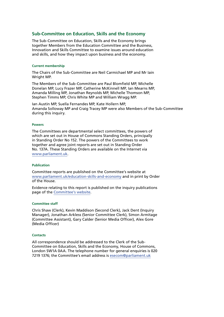#### **Sub-Committee on Education, Skills and the Economy**

The Sub-Committee on Education, Skills and the Economy brings together Members from the Education Committee and the Business, Innovation and Skills Committee to examine issues around education and skills, and how they impact upon business and the economy.

#### **Current membership**

The Chairs of the Sub-Committee are Neil Carmichael MP and Mr Iain Wright MP.

The Members of the Sub-Committee are Paul Blomfield MP, Michelle Donelan MP, Lucy Frazer MP, Catherine McKinnell MP, Ian Mearns MP, Amanda Milling MP, Jonathan Reynolds MP, Michelle Thomson MP, Stephen Timms MP, Chris White MP and William Wragg MP.

Ian Austin MP, Suella Fernandes MP, Kate Hollern MP, Amanda Solloway MP and Craig Tracey MP were also Members of the Sub-Committee during this inquiry.

#### **Powers**

The Committees are departmental select committees, the powers of which are set out in House of Commons Standing Orders, principally in Standing Order No 152. The powers of the Committees to work together and agree joint reports are set out in Standing Order No. 137A. These Standing Orders are available on the Internet via [www.parliament.uk](http://www.parliament.uk/).

#### **Publication**

Committee reports are published on the Committee's website at [www.parliament.uk/education-skills-and-economy](http://www.parliament.uk/education-skills-and-economy) and in print by Order of the House.

Evidence relating to this report is published on the inquiry publications page of the [Committee's website](http://www.parliament.uk/business/committees/committees-a-z/commons-select/education-skills-and-economy/).

#### **Committee staff**

Chris Shaw (Clerk), Kevin Maddison (Second Clerk), Jack Dent (Inquiry Manager), Jonathan Arkless (Senior Committee Clerk), Simon Armitage (Committee Assistant), Gary Calder (Senior Media Officer), Alex Gore (Media Officer)

#### **Contacts**

All correspondence should be addressed to the Clerk of the Sub-Committee on Education, Skills and the Economy, House of Commons, London SW1A 0AA. The telephone number for general enquiries is 020 7219 1376; the Committee's email address is [esecom@parliament.uk](mailto:esecom@parliament.uk)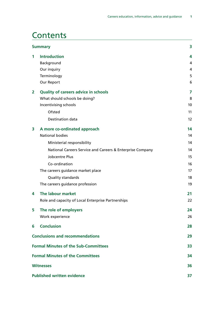### **Contents**

| <b>Summary</b>                          |                                                           |                   |
|-----------------------------------------|-----------------------------------------------------------|-------------------|
| 1                                       | <b>Introduction</b>                                       | 4                 |
|                                         | Background                                                | 4                 |
|                                         | Our inquiry                                               | 4                 |
|                                         | Terminology                                               | 5                 |
|                                         | Our Report                                                | 6                 |
| $\overline{2}$                          | <b>Quality of careers advice in schools</b>               | 7                 |
|                                         | What should schools be doing?                             | 8                 |
|                                         | Incentivising schools                                     | 10                |
|                                         | Ofsted                                                    | 11                |
|                                         | Destination data                                          | $12 \overline{ }$ |
| 3                                       | A more co-ordinated approach                              | 14                |
|                                         | <b>National bodies</b>                                    | 14                |
|                                         | Ministerial responsibility                                | 14                |
|                                         | National Careers Service and Careers & Enterprise Company | 14                |
|                                         | Jobcentre Plus                                            | 15                |
|                                         | Co-ordination                                             | 16                |
|                                         | The careers guidance market place                         | 17                |
|                                         | Quality standards                                         | 18                |
|                                         | The careers guidance profession                           | 19                |
| 4                                       | The labour market                                         | 21                |
|                                         | Role and capacity of Local Enterprise Partnerships        | 22                |
| 5                                       | The role of employers                                     | 24                |
|                                         | Work experience                                           | 26                |
| 6                                       | <b>Conclusion</b>                                         | 28                |
| <b>Conclusions and recommendations</b>  |                                                           | 29                |
|                                         | <b>Formal Minutes of the Sub-Committees</b>               | 33                |
| <b>Formal Minutes of the Committees</b> |                                                           | 34                |
| <b>Witnesses</b>                        |                                                           |                   |
| <b>Published written evidence</b>       |                                                           | 37                |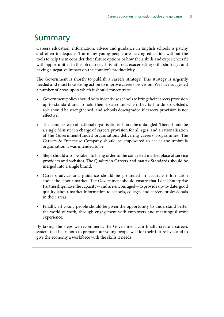### <span id="page-8-0"></span>Summary

Careers education, information, advice and guidance in English schools is patchy and often inadequate. Too many young people are leaving education without the tools to help them consider their future options or how their skills and experiences fit with opportunities in the job market. This failure is exacerbating skills shortages and having a negative impact on the country's productivity.

The Government is shortly to publish a careers strategy. This strategy is urgently needed and must take strong action to improve careers provision. We have suggested a number of areas upon which it should concentrate:

- Government policy should be to incentivise schools to bring their careers provision up to standard and to hold them to account when they fail to do so. Ofsted's role should be strengthened, and schools downgraded if careers provision is not effective.
- The complex web of national organisations should be untangled. There should be a single Minister in charge of careers provision for all ages, and a rationalisation of the Government-funded organisations delivering careers programmes. The Careers & Enterprise Company should be empowered to act as the umbrella organisation it was intended to be.
- Steps should also be taken to bring order to the congested market place of service providers and websites. The Quality in Careers and matrix Standards should be merged into a single brand.
- Careers advice and guidance should be grounded in accurate information about the labour market. The Government should ensure that Local Enterprise Partnerships have the capacity—and are encouraged—to provide up-to-date, good quality labour market information to schools, colleges and careers professionals in their areas.
- Finally, all young people should be given the opportunity to understand better the world of work, through engagement with employers and meaningful work experience.

By taking the steps we recommend, the Government can finally create a careers system that helps both to prepare our young people well for their future lives and to give the economy a workforce with the skills it needs.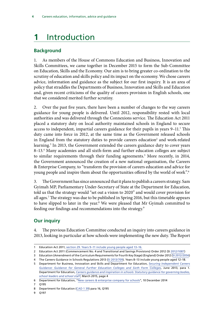## <span id="page-9-0"></span>**1** Introduction

### **Background**

1. As members of the House of Commons Education and Business, Innovation and Skills Committees, we came together in December 2015 to form the Sub-Committee on Education, Skills and the Economy. Our aim is to bring greater co-ordination to the scrutiny of education and skills policy and its impact on the economy. We chose careers advice, information and guidance as the subject for our first inquiry. It is an area of policy that straddles the Departments of Business, Innovation and Skills and Education and, given recent criticisms of the quality of careers provision in English schools, one that we considered merited further scrutiny.

2. Over the past five years, there have been a number of changes to the way careers guidance for young people is delivered. Until 2012, responsibility rested with local authorities and was delivered through the Connexions service. The Education Act 2011 placed a statutory duty on local authority maintained schools in England to secure access to independent, impartial careers guidance for their pupils in years 9-11.<sup>1</sup> This duty came into force in 2012, at the same time as the Government released schools in England from the statutory duties to provide careers education<sup>2</sup> and work-related learning.<sup>3</sup> In 2013, the Government extended the careers guidance duty to cover years 8–13.4 Many academies and all sixth-form and further education colleges are subject to similar requirements through their funding agreements.<sup>5</sup> More recently, in 2014, the Government announced the creation of a new national organisation, the Careers & Enterprise Company, to "transform the provision of careers education and advice for young people and inspire them about the opportunities offered by the world of work".6

3. The Government has since announced that it plans to publish a careers strategy. Sam Gyimah MP, Parliamentary Under-Secretary of State at the Department for Education, told us that the strategy would "set out a vision to 2020" and would cover provision for all ages.7 The strategy was due to be published in Spring 2016, but this timetable appears to have slipped to later in the year.<sup>8</sup> We were pleased that Mr Gyimah committed to feeding our findings and recommendations into the strategy.<sup>9</sup>

### **Our inquiry**

4. The previous Education Committee conducted an inquiry into careers guidance in 2013, looking in particular at how schools were implementing the new duty. The Report

9 Q197

<sup>1</sup> Education Act 2011, [section 29](http://origin-www.legislation.gov.uk/ukpga/2011/21/section/29). Years 9–11 include young people aged 13–16.

<sup>2</sup> Education Act 2011 (Commencement No. 4 and Transitional and Savings Provisions) Order 2012 (SI [2012/1087](http://origin-www.legislation.gov.uk/uksi/2012/1087/pdfs/uksi_20121087_en.pdf))

<sup>3</sup> Education (Amendment of the Curriculum Requirements for Fourth Key Stage) (England) Order 2012 ([SI 2012/2056\)](http://origin-www.legislation.gov.uk/uksi/2012/2056/pdfs/uksi_20122056_en.pdf)

<sup>4</sup> The Careers Guidance in Schools Regulations 2013 ([SI 2013/709\)](http://www.legislation.gov.uk/uksi/2013/709/pdfs/uksi_20130709_en.pdf). Years 8–13 include young people aged 12–18.

<sup>5</sup> Department for Business, Innovation and Skills and Department for Education, *[Securing Independent Careers](https://www.gov.uk/government/uploads/system/uploads/attachment_data/file/207240/Securing-Independent-Careers-Guidance.pdf) [Guidance: Guidance for General Further Education Colleges and Sixth Form Colleges](https://www.gov.uk/government/uploads/system/uploads/attachment_data/file/207240/Securing-Independent-Careers-Guidance.pdf)*, June 2013, para 1. Department for Education, *[Careers guidance and inspiration in schools: Statutory guidance for governing bodies,](https://www.gov.uk/government/uploads/system/uploads/attachment_data/file/440795/Careers_Guidance_Schools_Guidance.pdf) [school leaders and school staff](https://www.gov.uk/government/uploads/system/uploads/attachment_data/file/440795/Careers_Guidance_Schools_Guidance.pdf)*, March 2015, page 4

<sup>6</sup> Department for Education, ["New careers & enterprise company for schools"](https://www.gov.uk/government/news/new-careers-and-enterprise-company-for-schools), 10 December 2014

<sup>7</sup> Q195

<sup>8</sup> Department for Education [\(CAD 1 39\)](http://data.parliament.uk/writtenevidence/committeeevidence.svc/evidencedocument/subcommittee-on-education-skills-and-the-economy/careers-advice-information-and-guidance/written/28849.html) para 16, Q195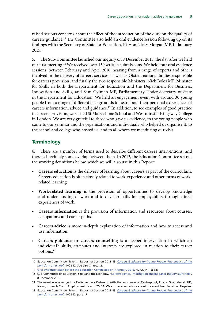<span id="page-10-0"></span>raised serious concerns about the effect of the introduction of the duty on the quality of careers guidance.10 The Committee also held an oral evidence session following up on its findings with the Secretary of State for Education, Rt Hon Nicky Morgan MP, in January 2015.11

5. The Sub-Committee launched our inquiry on 8 December 2015, the day after we held our first meeting.12 We received over 130 written submissions. We held four oral evidence sessions, between February and April 2016, hearing from a range of experts and others involved in the delivery of careers services, as well as Ofsted, national bodies responsible for careers provision, and finally the two responsible Ministers: Nick Boles MP, Minister for Skills in both the Department for Education and the Department for Business, Innovation and Skills, and Sam Gyimah MP, Parliamentary Under-Secretary of State in the Department for Education. We held an engagement event with around 30 young people from a range of different backgrounds to hear about their personal experiences of careers information, advice and guidance.13 In addition, to see examples of good practice in careers provision, we visited St Marylebone School and Westminster Kingsway College in London. We are very grateful to those who gave us evidence, to the young people who came to our seminar and the organisations and individuals who helped us organise it, to the school and college who hosted us, and to all whom we met during our visit.

#### **Terminology**

6. There are a number of terms used to describe different careers interventions, and there is inevitably some overlap between them. In 2013, the Education Committee set out the working definitions below, which we will also use in this Report:

- **Careers education** is the delivery of learning about careers as part of the curriculum. Careers education is often closely related to work-experience and other forms of workrelated learning.
- **Work-related learning** is the provision of opportunities to develop knowledge and understanding of work and to develop skills for employability through direct experiences of work.
- **Careers information** is the provision of information and resources about courses, occupations and career paths.
- **Careers advice** is more in-depth explanation of information and how to access and use information.
- **Careers guidance or careers counselling** is a deeper intervention in which an individual's skills, attributes and interests are explored in relation to their career options.14

<sup>10</sup> Education Committee, Seventh Report of Session 2012–13, *[Careers Guidance for Young People: The impact of the](http://www.publications.parliament.uk/pa/cm201213/cmselect/cmeduc/632/63202.htm) [new duty on schools](http://www.publications.parliament.uk/pa/cm201213/cmselect/cmeduc/632/63202.htm)*, HC 632. See also Chapter 2.

<sup>11</sup> [Oral evidence taken before the Education Committee on 7 January 2015,](http://data.parliament.uk/writtenevidence/committeeevidence.svc/evidencedocument/education-committee/careers-guidance-followup/oral/17257.html) HC (2014–15) 333

<sup>12</sup> Sub-Committee on Education, Skills and the Economy, ["Careers advice, information and guidance inquiry launched](https://www.parliament.uk/business/committees/committees-a-z/commons-select/education-skills-and-economy/news-parliament-2015/career-advice-evidence-15-16/)", 8 December 2015

<sup>13</sup> The event was arranged by Parliamentary Outreach with the assistance of Centrepoint, Fixers, Groundwork UK, Nacro, Upreach, Youth Employment UK and YMCA. We also received advice about the event from Jonathan Hopkins.

<sup>14</sup> Education Committee, Seventh Report of Session 2012–13, *[Careers Guidance for Young People: The impact of the](http://www.publications.parliament.uk/pa/cm201213/cmselect/cmeduc/632/63202.htm) [new duty on schools](http://www.publications.parliament.uk/pa/cm201213/cmselect/cmeduc/632/63202.htm)*, HC 632, para 17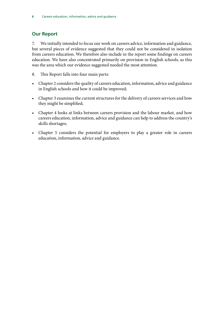### <span id="page-11-0"></span>**Our Report**

7. We initially intended to focus our work on careers advice, information and guidance, but several pieces of evidence suggested that they could not be considered in isolation from careers education. We therefore also include in the report some findings on careers education. We have also concentrated primarily on provision in English schools, as this was the area which our evidence suggested needed the most attention.

- 8. This Report falls into four main parts:
- Chapter 2 considers the quality of careers education, information, advice and guidance in English schools and how it could be improved;
- Chapter 3 examines the current structures for the delivery of careers services and how they might be simplified;
- Chapter 4 looks at links between careers provision and the labour market, and how careers education, information, advice and guidance can help to address the country's skills shortages;
- Chapter 5 considers the potential for employers to play a greater role in careers education, information, advice and guidance.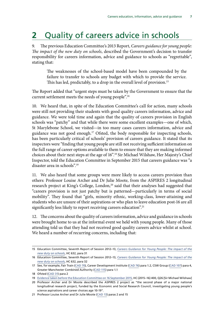### <span id="page-12-0"></span>**2** Quality of careers advice in schools

9. The previous Education Committee's 2013 Report, *Careers guidance for young people: The impact of the new duty on schools*, described the Government's decision to transfer responsibility for careers information, advice and guidance to schools as "regrettable", stating that:

The weaknesses of the school-based model have been compounded by the failure to transfer to schools any budget with which to provide the service. This has led, predictably, to a drop in the overall level of provision.<sup>15</sup>

The Report added that "urgent steps must be taken by the Government to ensure that the current settlement meets the needs of young people".16

10. We heard that, in spite of the Education Committee's call for action, many schools were still not providing their students with good quality careers information, advice and guidance. We were told time and again that the quality of careers provision in English schools was "patchy" and that while there were some excellent examples—one of which, St Marylebone School, we visited—in too many cases careers information, advice and guidance was not good enough.<sup>17</sup> Ofsted, the body responsible for inspecting schools, has been particularly critical of schools' provision of careers guidance. It stated that its inspectors were "finding that young people are still not receiving sufficient information on the full range of career options available to them to ensure that they are making informed choices about their next steps at the age of 16".18 Sir Michael Wilshaw, Her Majesty's Chief Inspector, told the Education Committee in September 2015 that careers guidance was "a disaster area in schools".19

11. We also heard that some groups were more likely to access careers provision than others: Professor Louise Archer and Dr Julie Moote, from the ASPIRES 2 longitudinal research project at King's College, London,<sup>20</sup> said that their analyses had suggested that "careers provision is not just patchy but is patterned—particularly in terms of social mobility". They found that "girls, minority ethnic, working-class, lower-attaining and students who are unsure of their aspirations or who plan to leave education post-16 are all significantly less likely to report receiving careers education".<sup>21</sup>

12. The concerns about the quality of careers information, advice and guidance in schools were brought home to us at the informal event we held with young people. Many of those attending told us that they had not received good quality careers advice whilst at school. We heard a number of recurring concerns, including that:

<sup>15</sup> Education Committee, Seventh Report of Session 2012–13, *[Careers Guidance for Young People: The impact of the](http://www.publications.parliament.uk/pa/cm201213/cmselect/cmeduc/632/63202.htm) [new duty on schools](http://www.publications.parliament.uk/pa/cm201213/cmselect/cmeduc/632/63202.htm)*, HC 632, para 31

<sup>16</sup> Education Committee, Seventh Report of Session 2012–13, *[Careers Guidance for Young People: The impact of the](http://www.publications.parliament.uk/pa/cm201213/cmselect/cmeduc/632/63202.htm) [new duty on schools](http://www.publications.parliament.uk/pa/cm201213/cmselect/cmeduc/632/63202.htm)*, HC 632, para 32

<sup>17</sup> See, for example, Fair Train ([CAD 70\)](http://data.parliament.uk/writtenevidence/committeeevidence.svc/evidencedocument/subcommittee-on-education-skills-and-the-economy/careers-advice-information-and-guidance/written/27080.html), Career Development Institute ([CAD 76\)](http://data.parliament.uk/writtenevidence/committeeevidence.svc/evidencedocument/subcommittee-on-education-skills-and-the-economy/careers-advice-information-and-guidance/written/27086.html) para 1.2, CSW Group ([CAD 107](http://data.parliament.uk/writtenevidence/committeeevidence.svc/evidencedocument/subcommittee-on-education-skills-and-the-economy/careers-advice-information-and-guidance/written/27127.html)) para 4, Greater Manchester Combined Authority ([CAD 115\)](http://data.parliament.uk/writtenevidence/committeeevidence.svc/evidencedocument/subcommittee-on-education-skills-and-the-economy/careers-advice-information-and-guidance/written/27142.html) para 1.1

<sup>18</sup> Ofsted [\(CAD 31](http://data.parliament.uk/writtenevidence/committeeevidence.svc/evidencedocument/subcommittee-on-education-skills-and-the-economy/careers-advice-information-and-guidance/written/27002.html)) para 2

<sup>19</sup> [Evidence taken before the Education Committee on 16 September 2015,](http://data.parliament.uk/writtenevidence/committeeevidence.svc/evidencedocument/education-committee/the-work-of-ofsted/oral/21696.html) HC (2015–16) 400, Q26 [Sir Michael Wilshaw]

<sup>20</sup> Professor Archer and Dr Moote described the ASPIRES 2 project as "the second phase of a major national longitudinal research project, funded by the Economic and Social Research Council, investigating young people's science aspirations and career choices age 10-19".

<sup>21</sup> Professor Louise Archer and Dr Julie Moote ([CAD 13](http://data.parliament.uk/writtenevidence/committeeevidence.svc/evidencedocument/subcommittee-on-education-skills-and-the-economy/careers-advice-information-and-guidance/written/26872.pdf)) paras 2 and 15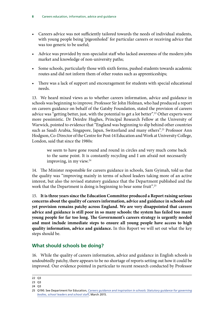- <span id="page-13-0"></span>• Careers advice was not sufficiently tailored towards the needs of individual students, with young people being 'pigeonholed' for particular careers or receiving advice that was too generic to be useful;
- Advice was provided by non-specialist staff who lacked awareness of the modern jobs market and knowledge of non-university paths;
- Some schools, particularly those with sixth forms, pushed students towards academic routes and did not inform them of other routes such as apprenticeships;
- There was a lack of support and encouragement for students with special educational needs.

13. We heard mixed views as to whether careers information, advice and guidance in schools was beginning to improve. Professor Sir John Holman, who had produced a report on careers guidance on behalf of the Gatsby Foundation, stated the provision of careers advice was "getting better, just, with the potential to get a lot better".<sup>22</sup> Other experts were more pessimistic. Dr Deirdre Hughes, Principal Research Fellow at the University of Warwick, pointed to evidence that "England was beginning to slip behind other countries such as Saudi Arabia, Singapore, Japan, Switzerland and many others".<sup>23</sup> Professor Ann Hodgson, Co-Director of the Centre for Post-14 Education and Work at University College, London, said that since the 1980s:

we seem to have gone round and round in circles and very much come back to the same point. It is constantly recycling and I am afraid not necessarily improving, in my view.<sup>24</sup>

14. The Minister responsible for careers guidance in schools, Sam Gyimah, told us that the quality was "improving mainly in terms of school leaders taking more of an active interest, but also the revised statutory guidance that the Department published and the work that the Department is doing is beginning to bear some fruit".<sup>25</sup>

15. **It is three years since the Education Committee produced a Report raising serious concerns about the quality of careers information, advice and guidance in schools and yet provision remains patchy across England. We are very disappointed that careers advice and guidance is still poor in so many schools: the system has failed too many young people for far too long. The Government's careers strategy is urgently needed and must include immediate steps to ensure all young people have access to high quality information, advice and guidance.** In this Report we will set out what the key steps should be.

### **What should schools be doing?**

16. While the quality of careers information, advice and guidance in English schools is undoubtedly patchy, there appears to be no shortage of reports setting out how it could be improved. Our evidence pointed in particular to recent research conducted by Professor

<sup>22</sup> Q3

<sup>23</sup> Q3

<sup>24</sup> Q3

<sup>25</sup> Q190. See Department for Education, *[Careers guidance and inspiration in schools: Statutory guidance for governing](https://www.gov.uk/government/uploads/system/uploads/attachment_data/file/440795/Careers_Guidance_Schools_Guidance.pdf) [bodies, school leaders and school staff](https://www.gov.uk/government/uploads/system/uploads/attachment_data/file/440795/Careers_Guidance_Schools_Guidance.pdf)*, March 2015.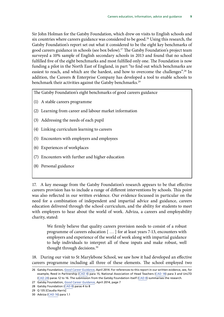Sir John Holman for the Gatsby Foundation, which drew on visits to English schools and six countries where careers guidance was considered to be good.<sup>26</sup> Using this research, the Gatsby Foundation's report set out what it considered to be the eight key benchmarks of good careers guidance in schools (see box below).27 The Gatsby Foundation's project team surveyed a 10% sample of English secondary schools in 2013 and found that no school fulfilled five of the eight benchmarks and most fulfilled only one. The Foundation is now funding a pilot in the North East of England, in part "to find out which benchmarks are easiest to reach, and which are the hardest, and how to overcome the challenges".<sup>28</sup> In addition, the Careers & Enterprise Company has developed a tool to enable schools to benchmark their activities against the Gatsby benchmarks.<sup>29</sup>

The Gatsby Foundation's eight benchmarks of good careers guidance

- (1) A stable careers programme
- (2) Learning from career and labour market information
- (3) Addressing the needs of each pupil
- (4) Linking curriculum learning to careers
- (5) Encounters with employers and employees
- (6) Experiences of workplaces
- (7) Encounters with further and higher education
- (8) Personal guidance

17. A key message from the Gatsby Foundation's research appears to be that effective careers provision has to include a range of different interventions by schools. This point was also reflected in our written evidence. Our evidence focussed in particular on the need for a combination of independent and impartial advice and guidance, careers education delivered through the school curriculum, and the ability for students to meet with employers to hear about the world of work. Adviza, a careers and employability charity, stated:

We firmly believe that quality careers provision needs to consist of a robust programme of careers education [ … ] for at least years 7-13, encounters with employers and experience of the world of work along with impartial guidance to help individuals to interpret all of these inputs and make robust, well thought through decisions.<sup>30</sup>

18. During our visit to St Marylebone School, we saw how it had developed an effective careers programme including all three of these elements. The school employed two

27 Gatsby Foundation, *[Good Career Guidance](http://www.gatsby.org.uk/uploads/education/reports/pdf/gatsby-sir-john-holman-good-career-guidance-2014.pdf)*, April 2014, page 7

<sup>26</sup> Gatsby Foundation, *[Good Career Guidance](http://www.gatsby.org.uk/uploads/education/reports/pdf/gatsby-sir-john-holman-good-career-guidance-2014.pdf)*, April 2014. For references to this report in our written evidence, see, for example, Reed in Partnership [\(CAD 4](http://data.parliament.uk/writtenevidence/committeeevidence.svc/evidencedocument/subcommittee-on-education-skills-and-the-economy/careers-advice-information-and-guidance/written/26451.html)) para 15, National Association of Head Teachers [\(CAD 18](http://data.parliament.uk/writtenevidence/committeeevidence.svc/evidencedocument/subcommittee-on-education-skills-and-the-economy/careers-advice-information-and-guidance/written/26941.html)) para 3 and UnLTD ([CAD 24](http://data.parliament.uk/writtenevidence/committeeevidence.svc/evidencedocument/subcommittee-on-education-skills-and-the-economy/careers-advice-information-and-guidance/written/26983.html)) paras 12 to 16. The submission from the Gatsby Foundation itself [\(CAD 8\)](http://data.parliament.uk/writtenevidence/committeeevidence.svc/evidencedocument/subcommittee-on-education-skills-and-the-economy/careers-advice-information-and-guidance/written/26681.html) summarises the research.

<sup>28</sup> Gatsby Foundation ([CAD 8\)](http://data.parliament.uk/writtenevidence/committeeevidence.svc/evidencedocument/subcommittee-on-education-skills-and-the-economy/careers-advice-information-and-guidance/written/26681.html) paras 4 to 8

<sup>29</sup> Q 135 [Claudia Harris]

<sup>30</sup> Adviza ([CAD 16](http://data.parliament.uk/writtenevidence/committeeevidence.svc/evidencedocument/subcommittee-on-education-skills-and-the-economy/careers-advice-information-and-guidance/written/26906.html)) para 1.1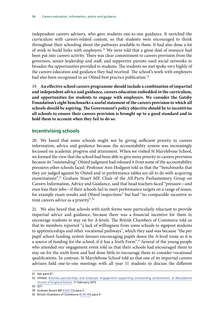<span id="page-15-0"></span>independent careers advisers, who gave students one-to-one guidance. It enriched the curriculum with careers-related content, so that students were encouraged to think throughout their schooling about the pathways available to them. It had also done a lot of work to build links with employers.<sup>31</sup> We were told that a great deal of resource had been put into careers activity. There was clear commitment to careers provision from the governors, senior leadership and staff, and supportive parents used social networks to broaden the opportunities provided to students. The students we met spoke very highly of the careers education and guidance they had received. The school's work with employers had also been recognised in an Ofsted best practice publication.<sup>32</sup>

19. **An effective school careers programme should include a combination of impartial and independent advice and guidance, careers education embedded in the curriculum, and opportunities for students to engage with employers. We consider the Gatsby Foundation's eight benchmarks a useful statement of the careers provision to which all schools should be aspiring. The Government's policy objective should be to incentivise all schools to ensure their careers provision is brought up to a good standard and to hold them to account when they fail to do so.**

#### **Incentivising schools**

20. We heard that some schools might not be giving sufficient priority to careers information, advice and guidance because the accountability system was increasingly focussed on academic progress and attainment. When we visited St Marylebone School, we formed the view that the school had been able to give more priority to careers provision because its "outstanding" Ofsted judgment had released it from some of the accountability pressures other schools faced. Professor Ann Hodgson told us that the "benchmarks that they are judged against by Ofsted and in performance tables are all to do with acquiring examinations".<sup>33</sup> Graham Stuart MP, Chair of the All-Party Parliamentary Group on Careers Information, Advice and Guidance, said that head teachers faced "pressure—and even lose their jobs—if their schools fail to meet performance targets on a range of issues, for example exam results and Ofsted inspections" but had "no comparable incentive to treat careers advice as a priority".34

21. We also heard that schools with sixth forms were particularly reluctant to provide impartial advice and guidance, because there was a financial incentive for them to encourage students to stay on for A-levels. The British Chambers of Commerce told us that its members reported "a lack of willingness from some schools to signpost students to apprenticeships and other vocational pathways", which they said was because "the per pupil school funding system favours encouraging pupils down the A-level route as it is a source of funding for the school, if it has a Sixth Form".<sup>35</sup> Several of the young people who attended our engagement event told us that their schools had encouraged them to stay on for the sixth form and had done little to encourage them to consider vocational qualifications. In contrast, St Marylebone School told us that one of its impartial careers advisers held one-to-one meetings with all year 11 students to discuss the different

33 Q11

<sup>31</sup> See para [67](#page-29-1)

<sup>32</sup> Ofsted, [Business partnerships and employer engagement supporting outstanding achievement: St Marylebone](https://www.gov.uk/government/uploads/system/uploads/attachment_data/file/392311/St_20Marylebone_20CofE_20School_20-_20Good_20practice_20example.pdf) [Church of England School](https://www.gov.uk/government/uploads/system/uploads/attachment_data/file/392311/St_20Marylebone_20CofE_20School_20-_20Good_20practice_20example.pdf), 11 February 2013

<sup>34</sup> Graham Stuart MP ([CAD 50](http://data.parliament.uk/writtenevidence/committeeevidence.svc/evidencedocument/subcommittee-on-education-skills-and-the-economy/careers-advice-information-and-guidance/written/27055.html)) para 5

<sup>35</sup> British Chambers of Commerce ([CAD 80](http://data.parliament.uk/writtenevidence/committeeevidence.svc/evidencedocument/subcommittee-on-education-skills-and-the-economy/careers-advice-information-and-guidance/written/27091.html)) para 4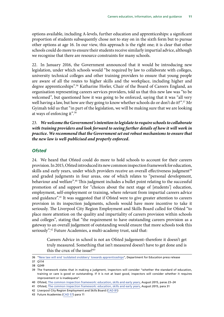<span id="page-16-0"></span>options available, including A-levels, further education and apprenticeships: a significant proportion of students subsequently chose not to stay on in the sixth form but to pursue other options at age 16. In our view, this approach is the right one; it is clear that other schools could do more to ensure their students receive similarly impartial advice, although we recognise that there are resource constraints for many schools.

22. In January 2016, the Government announced that it would be introducing new legislation, under which schools would "be required by law to collaborate with colleges, university technical colleges and other training providers to ensure that young people are aware of all the routes to higher skills and the workplace, including higher and degree apprenticeships".<sup>36</sup> Katharine Horler, Chair of the Board of Careers England, an organisation representing careers services providers, told us that this new law was "to be welcomed", but questioned how it was going to be enforced, saying that it was "all very well having a law, but how are they going to know whether schools do or don't do it?".<sup>37</sup> Mr Gyimah told us that "in part of the legislation, we will be making sure that we are looking at ways of enforcing it".38

#### 23. *We welcome the Government's intention to legislate to require schools to collaborate with training providers and look forward to seeing further details of how it will work in practice. We recommend that the Government set out robust mechanisms to ensure that the new law is well-publicised and properly enforced.*

#### *Ofsted*

24. We heard that Ofsted could do more to hold schools to account for their careers provision. In 2015, Ofsted introduced its new common inspection framework for education, skills and early years, under which providers receive an overall effectiveness judgment<sup>39</sup> and graded judgments in four areas, one of which relates to "personal development, behaviour and welfare".<sup>40</sup> This judgment includes a bullet point relating to the successful promotion of and support for "choices about the next stage of [students'] education, employment, self-employment or training, where relevant from impartial careers advice and guidance".<sup>41</sup> It was suggested that if Ofsted were to give greater attention to careers provision in its inspection judgments, schools would have more incentive to take it seriously. The Liverpool City Region Employment and Skills Board called for Ofsted "to place more attention on the quality and impartiality of careers provision within schools and colleges", stating that "the requirement to have outstanding careers provision as a gateway to an overall judgement of outstanding would ensure that more schools took this seriously".<sup>42</sup> Future Academies, a multi-academy trust, said that:

Careers Advice in school is not an Ofsted judgement–therefore it doesn't get truly measured. Something that isn't measured doesn't have to get done and is this the crux of the issue?<sup>43</sup>

<sup>36</sup> ["New law will end 'outdated snobbery' towards apprenticeships"](https://www.gov.uk/government/news/new-law-will-end-outdated-snobbery-towards-apprenticeships), Department for Education press release

<sup>37</sup> Q114

<sup>38</sup> Q249

<sup>39</sup> The framework states that in making a judgment, inspectors will consider "whether the standard of education, training or care is good or outstanding. If it is not at least good, inspectors will consider whether it requires improvement or is inadequate".

<sup>40</sup> Ofsted, [The common inspection framework: education, skills and early years](https://www.gov.uk/government/uploads/system/uploads/attachment_data/file/461767/The_common_inspection_framework_education_skills_and_early_years.pdf), August 2015, paras 23–24

<sup>41</sup> Ofsted, [The common inspection framework: education, skills and early years](https://www.gov.uk/government/uploads/system/uploads/attachment_data/file/461767/The_common_inspection_framework_education_skills_and_early_years.pdf), August 2015, para 31

<sup>42</sup> Liverpool City Region Employment and Skills Board [\(CAD 81](http://data.parliament.uk/writtenevidence/committeeevidence.svc/evidencedocument/subcommittee-on-education-skills-and-the-economy/careers-advice-information-and-guidance/written/27092.html))

<sup>43</sup> Future Academies ([CAD 57](http://data.parliament.uk/writtenevidence/committeeevidence.svc/evidencedocument/subcommittee-on-education-skills-and-the-economy/careers-advice-information-and-guidance/written/27063.html)) para 11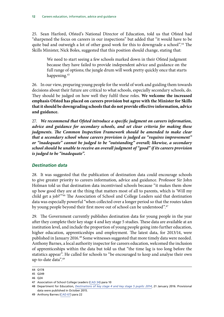<span id="page-17-0"></span>25. Sean Harford, Ofsted's National Director of Education, told us that Ofsted had "sharpened the focus on careers in our inspections" but added that "it would have to be quite bad and outweigh a lot of other good work for this to downgrade a school".<sup>44</sup> The Skills Minister, Nick Boles, suggested that this position should change, stating that:

We need to start seeing a few schools marked down in their Ofsted judgment because they have failed to provide independent advice and guidance on the full range of options; the jungle drum will work pretty quickly once that starts happening.<sup>45</sup>

26. In our view, preparing young people for the world of work and guiding them towards decisions about their future are critical to what schools, especially secondary schools, do. They should be judged on how well they fulfil these roles. **We welcome the increased emphasis Ofsted has placed on careers provision but agree with the Minister for Skills that it should be downgrading schools that do not provide effective information, advice and guidance.**

27. *We recommend that Ofsted introduce a specific judgment on careers information, advice and guidance for secondary schools, and set clear criteria for making these judgments. The Common Inspection Framework should be amended to make clear that a secondary school whose careers provision is judged as "requires improvement" or "inadequate" cannot be judged to be "outstanding" overall; likewise, a secondary school should be unable to receive an overall judgment of "good" if its careers provision is judged to be "inadequate".*

#### *Destination data*

28. It was suggested that the publication of destination data could encourage schools to give greater priority to careers information, advice and guidance. Professor Sir John Holman told us that destination data incentivised schools because "it makes them show up how good they are at the thing that matters most of all to parents, which is 'Will my child get a job?'"46 The Association of School and College Leaders said that destination data was especially powerful "when collected over a longer period so that the routes taken by young people beyond their first move out of school can be understood".<sup>47</sup>

29. The Government currently publishes destination data for young people in the year after they complete their key stage 4 and key stage 5 studies. These data are available at an institution level, and include the proportion of young people going into further education, higher education, apprenticeships and employment. The latest data, for 2013/14, were published in January 2016.<sup>48</sup> Some witnesses suggested that more timely data were needed. Anthony Barnes, a local authority inspector for careers education, welcomed the inclusion of apprenticeships within the data but told us that "the time lag is too long before the statistics appear". He called for schools to "be encouraged to keep and analyse their own up-to-date data".49

<sup>44</sup> Q178

<sup>45</sup> Q249

<sup>46</sup> Q24

<sup>47</sup> Association of School College Leaders ([CAD 34](http://data.parliament.uk/writtenevidence/committeeevidence.svc/evidencedocument/subcommittee-on-education-skills-and-the-economy/careers-advice-information-and-guidance/written/27006.html)) para 10

<sup>48</sup> Department for Education, *[Destinations of key stage 4 and key stage 5 pupils: 2014](https://www.gov.uk/government/statistics/destinations-of-ks4-and-ks5-pupils-2013-to-2014)*, 21 January 2016. Provisional data were published in October 2015.

<sup>49</sup> Anthony Barnes ([CAD 67](http://data.parliament.uk/writtenevidence/committeeevidence.svc/evidencedocument/subcommittee-on-education-skills-and-the-economy/careers-advice-information-and-guidance/written/27076.html)) para 22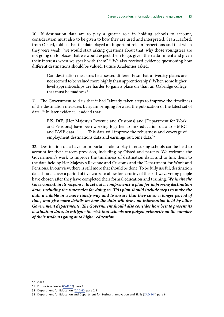30. If destination data are to play a greater role in holding schools to account, consideration must also to be given to how they are used and interpreted. Sean Harford, from Ofsted, told us that the data played an important role in inspections and that when they were weak, "we would start asking questions about that; why those youngsters are not going on to places that we would expect them to go, given their attainment and given their interests when we speak with them".<sup>50</sup> We also received evidence questioning how different destinations should be valued. Future Academies asked:

Can destination measures be assessed differently so that university places are not seemed to be valued more highly than apprenticeships? When some higher level apprenticeships are harder to gain a place on than an Oxbridge college that must be madness.<sup>51</sup>

31. The Government told us that it had "already taken steps to improve the timeliness of the destination measures by again bringing forward the publication of the latest set of data".52 In later evidence, it added that:

BIS, DfE, [Her Majesty's Revenue and Customs] and [Department for Work and Pensions] have been working together to link education data to HMRC and DWP data. [ … ] This data will improve the robustness and coverage of employment destinations data and earnings outcome data.<sup>53</sup>

32. Destination data have an important role to play in ensuring schools can be held to account for their careers provision, including by Ofsted and parents. We welcome the Government's work to improve the timeliness of destination data, and to link them to the data held by Her Majesty's Revenue and Customs and the Department for Work and Pensions. In our view, there is still more that should be done. To be fully useful, destination data should cover a period of five years, to allow for scrutiny of the pathways young people have chosen after they have completed their formal education and training. *We invite the Government, in its response, to set out a comprehensive plan for improving destination data, including the timescales for doing so. This plan should include steps to make the*  data available in a more timely way and to ensure that they cover a longer period of *time, and give more details on how the data will draw on information held by other Government departments. The Government should also consider how best to present its destination data, to mitigate the risk that schools are judged primarily on the number of their students going onto higher education.*

<sup>50</sup> Q178

<sup>51</sup> Future Academies ([CAD 57](http://data.parliament.uk/writtenevidence/committeeevidence.svc/evidencedocument/subcommittee-on-education-skills-and-the-economy/careers-advice-information-and-guidance/written/27063.html)) para 9

<sup>52</sup> Department for Education [\(CAD 40\)](http://data.parliament.uk/writtenevidence/committeeevidence.svc/evidencedocument/subcommittee-on-education-skills-and-the-economy/careers-advice-information-and-guidance/written/27035.html) para 2.9

<sup>53</sup> Department for Education and Department for Business, Innovation and Skills ([CAD 144](http://data.parliament.uk/writtenevidence/committeeevidence.svc/evidencedocument/subcommittee-on-education-skills-and-the-economy/careers-advice-information-and-guidance/written/33338.html)) para 6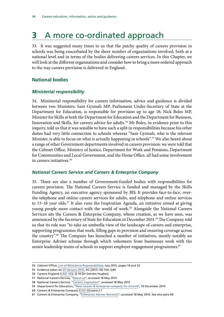### <span id="page-19-0"></span>**3** A more co-ordinated approach

33. It was suggested many times to us that the patchy quality of careers provision in schools was being exacerbated by the sheer number of organisations involved, both at a national level and in terms of the bodies delivering careers services. In this Chapter, we will look at the different organisations and consider how to bring a more ordered approach to the way careers provision is delivered in England.

### **National bodies**

#### *Ministerial responsibility*

34. Ministerial responsibility for careers information, advice and guidance is divided between two Ministers: Sam Gyimah MP, Parliament Under-Secretary of State at the Department for Education, is responsible for provision up to age 18; Nick Boles MP, Minister for Skills at both the Department for Education and the Department for Business, Innovation and Skills, for careers advice for adults.<sup>54</sup> Mr Boles, in evidence prior to this inquiry, told us that it was sensible to have such a split in responsibilities because his other duties had very little connection to schools whereas "Sam Gyimah, who is the relevant Minister, is able to focus on what is actually happening in schools".<sup>55</sup> We also heard about a range of other Government departments involved in careers provision: we were told that the Cabinet Office, Ministry of Justice, Department for Work and Pensions, Department for Communities and Local Government, and the Home Office, all had some involvement in careers initiatives.56

#### *National Careers Service and Careers & Enterprise Company*

35. There are also a number of Government-funded bodies with responsibilities for careers provision. The National Careers Service is funded and managed by the Skills Funding Agency, an executive agency sponsored by BIS. It provides face-to-face, overthe-telephone and online careers services for adults, and telephone and online services to 13–18 year olds.<sup>57</sup> It also runs the Inspiration Agenda, an initiative aimed at giving young people more contact with the world of work.<sup>58</sup> Alongside the National Careers Services sits the Careers & Enterprise Company, whose creation, as we have seen, was announced by the Secretary of State for Education in December 2014.<sup>59</sup> The Company told us that its role was "to take an umbrella view of the landscape of careers and enterprise, supporting programmes that work, filling gaps in provision and ensuring coverage across the country".60 The Company has launched a number of initiatives, mostly notably an Enterprise Adviser scheme through which volunteers from businesses work with the senior leadership teams of schools to support employer engagement programmes.<sup>61</sup>

<sup>54</sup> Cabinet Office, *[List of Ministerial Responsibilities](https://www.gov.uk/government/uploads/system/uploads/attachment_data/file/471311/FINAL_LMR.pdf)*, July 2015, pages 14 and 33

<sup>55</sup> Evidence taken on [25 January 2016,](http://data.parliament.uk/writtenevidence/committeeevidence.svc/evidencedocument/subcommittee-on-education-skills-and-the-economy/responsibilities-of-the-minister-for-skills/oral/27801.html) HC (2015–16) 704, Q49

<sup>56</sup> Careers England ([CAD 143](http://data.parliament.uk/writtenevidence/committeeevidence.svc/evidencedocument/subcommittee-on-education-skills-and-the-economy/careers-advice-information-and-guidance/written/32877.html)), Q 19 [Dr Deirdre Hughes]

<sup>57</sup> National Careers Service, ["About us](https://nationalcareersservice.direct.gov.uk/aboutus/Pages/default.aspx)", accessed 18 May 2015

<sup>58</sup> National Careers Service, ["Careers inspiration](https://nationalcareersservice.direct.gov.uk/advice/in-your-area/south-west/Pages/Careers-Inspiration.aspx)", accessed 18 May 2015

<sup>59</sup> Department for Education, ["New careers & enterprise company for schools"](https://www.gov.uk/government/news/new-careers-and-enterprise-company-for-schools), 10 December 2014

<sup>60</sup> Careers & Enterprise Company [\(CAD 99\)](http://data.parliament.uk/writtenevidence/committeeevidence.svc/evidencedocument/subcommittee-on-education-skills-and-the-economy/careers-advice-information-and-guidance/written/27116.html) para 2.1

<sup>61</sup> Careers & Enterprise Company, "[Enterprise Adviser Network](https://www.careersandenterprise.co.uk/enterprise-adviser-network)", accessed 18 May 2016. See also para [69.](#page-29-2)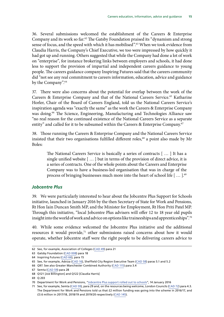<span id="page-20-0"></span>36. Several submissions welcomed the establishment of the Careers & Enterprise Company and its work so far.62 The Gatsby Foundation praised its "dynamism and strong sense of focus, and the speed with which it has mobilised".<sup>63</sup> When we took evidence from Claudia Harris, the Company's Chief Executive, we too were impressed by how quickly it had got up and running. Others suggested that while the Company had done a lot of work on "enterprise", for instance brokering links between employers and schools, it had done less to support the provision of impartial and independent careers guidance to young people. The careers guidance company Inspiring Futures said that the careers community did "not see any real commitment to careers information, education, advice and guidance by the Company".<sup>64</sup>

37. There were also concerns about the potential for overlap between the work of the Careers & Enterprise Company and that of the National Careers Service.<sup>65</sup> Katharine Horler, Chair of the Board of Careers England, told us the National Careers Service's inspiration agenda was "exactly the same" as the work the Careers & Enterprise Company was doing.<sup>66</sup> The Science, Engineering, Manufacturing and Technologies Alliance saw "no real reason for the continued existence of the National Careers Service as a separate entity" and called for it to be subsumed within the Careers & Enterprise Company.<sup>67</sup>

38. Those running the Careers & Enterprise Company and the National Careers Service insisted that their two organisations fulfilled different roles,<sup>68</sup> a point also made by Mr Boles:

The National Careers Service is basically a series of contracts [ … ] It has a single unified website [ … ] but in terms of the provision of direct advice, it is a series of contracts. One of the whole points about the Careers and Enterprise Company was to have a business-led organisation that was in charge of the process of bringing businesses much more into the heart of school life [...].<sup>69</sup>

#### *Jobcentre Plus*

39. We were particularly interested to hear about the Jobcentre Plus Support for Schools initiative, launched in January 2016 by the then Secretary of State for Work and Pensions, Rt Hon Iain Duncan Smith MP, and the Minister for Employment, Rt Hon Priti Patel MP. Through this initiative, "local Jobcentre Plus advisers will offer 12 to 18 year old pupils insight into the world of work and advice on options like traineeships and apprenticeships".<sup>70</sup>

40. While some evidence welcomed the Jobcentre Plus initiative and the additional resources it would provide,<sup>71</sup> other submissions raised concerns about how it would operate, whether Jobcentre staff were the right people to be delivering careers advice to

<sup>62</sup> See, for example, Association of Colleges [\(CAD 49\)](http://data.parliament.uk/writtenevidence/committeeevidence.svc/evidencedocument/subcommittee-on-education-skills-and-the-economy/careers-advice-information-and-guidance/written/27052.html) para 21

<sup>63</sup> Gatsby Foundation ([CAD 008\)](http://data.parliament.uk/writtenevidence/committeeevidence.svc/evidencedocument/subcommittee-on-education-skills-and-the-economy/careers-advice-information-and-guidance/written/26681.html) para 18

<sup>64</sup> Inspiring Futures ([CAD 66](http://data.parliament.uk/writtenevidence/committeeevidence.svc/evidencedocument/subcommittee-on-education-skills-and-the-economy/careers-advice-information-and-guidance/written/27075.html)), para 15

<sup>65</sup> See, for example, Adviza ([CAD 16](http://data.parliament.uk/writtenevidence/committeeevidence.svc/evidencedocument/subcommittee-on-education-skills-and-the-economy/careers-advice-information-and-guidance/written/26906.html)), Sheffield City Region Executive Team ([CAD 58\)](http://data.parliament.uk/writtenevidence/committeeevidence.svc/evidencedocument/subcommittee-on-education-skills-and-the-economy/careers-advice-information-and-guidance/written/27064.html) paras 5.1 and 5.2

<sup>66</sup> Q97. See also Greater Manchester Combined Authority [\(CAD 115](http://data.parliament.uk/writtenevidence/committeeevidence.svc/evidencedocument/subcommittee-on-education-skills-and-the-economy/careers-advice-information-and-guidance/written/27142.html)) para 3.4

<sup>67</sup> Semta [\(CAD 59](http://data.parliament.uk/writtenevidence/committeeevidence.svc/evidencedocument/subcommittee-on-education-skills-and-the-economy/careers-advice-information-and-guidance/written/27065.html)) para 28

<sup>68</sup> Q121 [Joe Billington] and Q122 [Claudia Harris]

<sup>69</sup> Q 203

<sup>70</sup> Department for Work and Pensions, ["Jobcentre Plus support rolled out to schools](https://www.gov.uk/government/news/jobcentre-plus-support-rolled-out-to-schools)", 14 January 2016

<sup>71</sup> See, for example, Semta [\(CAD 59](http://data.parliament.uk/writtenevidence/committeeevidence.svc/evidencedocument/subcommittee-on-education-skills-and-the-economy/careers-advice-information-and-guidance/written/27065.html)), para 29 and, on the resources being welcome, London Councils ([CAD 72\)](http://data.parliament.uk/writtenevidence/committeeevidence.svc/evidencedocument/subcommittee-on-education-skills-and-the-economy/careers-advice-information-and-guidance/written/27082.html) para 4.3. The Department for Work and Pensions told us that £2 million funding was going into the scheme in 2016/17, and £3.6 million in 2017/18, 2018/19 and 2019/20 respectively [\(CAD 145\)](http://data.parliament.uk/writtenevidence/committeeevidence.svc/evidencedocument/subcommittee-on-education-skills-and-the-economy/careers-advice-information-and-guidance/written/33974.html).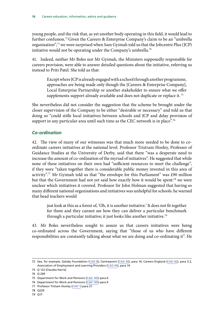<span id="page-21-0"></span>young people, and the risk that, as yet another body operating in this field, it would lead to further confusion.72Given the Careers & Enterprise Company's claim to be an "umbrella organisation",73 we were surprised when Sam Gyimah told us that the Jobcentre Plus (JCP) initiative would not be operating under the Company's umbrella.<sup>74</sup>

41. Indeed, neither Mr Boles nor Mr Gyimah, the Ministers supposedly responsible for careers provision, were able to answer detailed questions about the initiative, referring us instead to Priti Patel. She told us that:

Except where JCP is already engaged with a school through another programme, approaches are being made only though the [Careers & Enterprise Company], Local Enterprise Partnership or another stakeholder to ensure what we offer supplements support already available and does not duplicate or replace it.<sup>75</sup>

She nevertheless did not consider the suggestion that the scheme be brought under the closer supervision of the Company to be either "desirable or necessary" and told us that doing so "could stifle local initiatives between schools and JCP and delay provision of support in any particular area until such time as the CEC network is in place".<sup>76</sup>

### *Co-ordination*

42. The view of many of our witnesses was that much more needed to be done to coordinate careers initiatives at the national level. Professor Tristram Hooley, Professor of Guidance Studies at the University of Derby, said that there "was a desperate need to increase the amount of co-ordination of the myriad of initiatives". He suggested that while none of these initiatives on their own had "sufficient resources to meet the challenge", if they were "taken together there is considerable public money invested in this area of activity".<sup>77</sup> Mr Gyimah told us that "the envelope for this Parliament" was £90 million but that the Government had not yet said how exactly how it would be spent:<sup>78</sup> we were unclear which initiatives it covered. Professor Sir John Holman suggested that having so many different national organisations and initiatives was unhelpful for schools: he warned that head teachers would

just look at this as a forest of, 'Oh, it is another initiative.' It does not fit together for them and they cannot see how they can deliver a particular benchmark through a particular initiative; it just looks like another initiative.<sup>79</sup>

43. Mr Boles nevertheless sought to assure us that careers initiatives were being co-ordinated across the Government, saying that "those of us who have different responsibilities are constantly talking about what we are doing and co-ordinating it". He

<sup>72</sup> See, for example, Gatsby Foundation ([CAD 8](http://data.parliament.uk/writtenevidence/committeeevidence.svc/evidencedocument/subcommittee-on-education-skills-and-the-economy/careers-advice-information-and-guidance/written/26681.html)), Centrepoint [\(CAD 30\)](http://data.parliament.uk/writtenevidence/committeeevidence.svc/evidencedocument/subcommittee-on-education-skills-and-the-economy/careers-advice-information-and-guidance/written/26999.html), para 14, Careers England ([CAD 42\)](http://data.parliament.uk/writtenevidence/committeeevidence.svc/evidencedocument/subcommittee-on-education-skills-and-the-economy/careers-advice-information-and-guidance/written/27037.html), para 3.2, Association of Employment and Learning Providers ([CAD 45](http://data.parliament.uk/writtenevidence/committeeevidence.svc/evidencedocument/subcommittee-on-education-skills-and-the-economy/careers-advice-information-and-guidance/written/27047.html)), para 14

<sup>73</sup> Q 122 [Claudia Harris]

<sup>74</sup> Q 209

<sup>75</sup> Department for Work and Pensions [\(CAD 145\)](http://data.parliament.uk/writtenevidence/committeeevidence.svc/evidencedocument/subcommittee-on-education-skills-and-the-economy/careers-advice-information-and-guidance/written/33974.html) para 6

<sup>76</sup> Department for Work and Pensions [\(CAD 145\)](http://data.parliament.uk/writtenevidence/committeeevidence.svc/evidencedocument/subcommittee-on-education-skills-and-the-economy/careers-advice-information-and-guidance/written/33974.html) para 9

<sup>77</sup> Professor Tristam Hooley [\(CAD 1](http://data.parliament.uk/writtenevidence/committeeevidence.svc/evidencedocument/subcommittee-on-education-skills-and-the-economy/careers-advice-information-and-guidance/written/25775.html)) para 21

<sup>78</sup> Q220

<sup>79</sup> Q17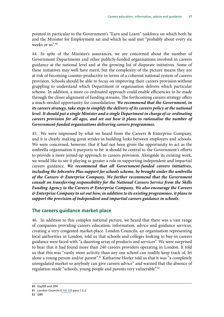<span id="page-22-0"></span>pointed in particular to the Government's "Earn and Learn" taskforce on which both he and the Minister for Employment sat and which he said met "probably about every six weeks or so" $80$ 

44. In spite of the Minister's assurances, we are concerned about the number of Government Departments and other publicly-funded organisations involved in careers guidance at the national level and at the growing list of disparate initiatives. Some of these initiatives may well have merit, but the complexity of the picture means they are at risk of becoming counter-productive in terms of a coherent national system of careers provision. Schools should be able to focus on improving their careers provision without grappling to understand which Department or organisation delivers which particular scheme. In addition, a more co-ordinated approach could enable efficiencies to be made through the closer alignment of funding streams. The forthcoming careers strategy offers a much-needed opportunity for consolidation. *We recommend that the Government, in its careers strategy, take steps to simplify the delivery of its careers policy at the national level. It should put a single Minister and a single Department in charge of co-ordinating careers provision for all ages, and set out how it plans to rationalise the number of Government-funded organisations delivering careers programmes.*

45. We were impressed by what we heard from the Careers & Enterprise Company, and it is clearly making great strides in building links between employers and schools. We were concerned, however, that it had not been given the opportunity to act as the umbrella organisation it purports to be: it should be central to the Government's efforts to provide a more joined-up approach to careers provision. Alongside its existing work, we would like to see it playing as greater a role in supporting independent and impartial careers guidance. *We recommend that all Government-funded careers initiatives, including the Jobcentre Plus support for schools scheme, be brought under the umbrella of the Careers & Enterprise Company. We further recommend that the Government consult on transferring responsibility for the National Careers Service from the Skills Funding Agency to the Careers & Enterprise Company. We also encourage the Careers & Enterprise Company to set out how, in addition to its existing programmes, it plans to support the provision of independent and impartial careers guidance in schools.*

#### **The careers guidance market place**

46. In addition to this complex national picture, we heard that there was a vast range of companies providing careers education, information, advice and guidance services, creating a very congested market-place. London Councils, an organisation representing local authorities in London, told us that schools and colleges looking to buy-in careers guidance were faced with "a daunting array of products and services". We were surprised to hear that it had found more than 240 careers providers operating in London. It told us that this was "vastly more activity than any one school can readily keep track of, let alone a young person and/or parent".<sup>81</sup> Katharine Horler told us that it was "a completely unregulated market so anybody can give careers advice" and warned that the absence of regulation made "schools, young people and parents very vulnerable".<sup>82</sup>

<sup>80</sup> Qq200 and 204

<sup>81</sup> London Councils ([CAD 32](http://data.parliament.uk/writtenevidence/committeeevidence.svc/evidencedocument/subcommittee-on-education-skills-and-the-economy/careers-advice-information-and-guidance/written/27082.html)) para 1.5.2

<sup>82</sup> Q80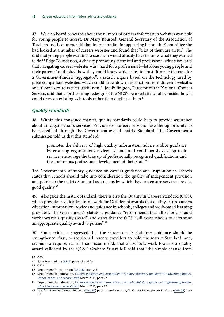<span id="page-23-0"></span>47. We also heard concerns about the number of careers information websites available for young people to access. Dr Mary Bousted, General Secretary of the Association of Teachers and Lecturers, said that in preparation for appearing before the Committee she had looked at a number of careers websites and found that "a lot of them are awful". She said that young people wanting to use them would already have to know what they wanted to do.83 Edge Foundation, a charity promoting technical and professional education, said that navigating careers websites was "hard for a professional—let alone young people and their parents" and asked how they could know which sites to trust. It made the case for a Government-funded "aggregator", a search engine based on the technology used by price comparison websites, which could draw down information from different websites and allow users to rate its usefulness.<sup>84</sup> Joe Billington, Director of the National Careers Service, said that a forthcoming redesign of the NCS's own website would consider how it could draw on existing web-tools rather than duplicate them.<sup>85</sup>

#### *Quality standards*

48. Within this congested market, quality standards could help to provide assurance about an organisation's services. Providers of careers services have the opportunity to be accredited through the Government-owned matrix Standard. The Government's submission told us that this standard:

promotes the delivery of high quality information, advice and/or guidance by ensuring organisations review, evaluate and continuously develop their service; encourage the take up of professionally recognised qualifications and the continuous professional development of their staff.<sup>86</sup>

The Government's statutory guidance on careers guidance and inspiration in schools states that schools should take into consideration the quality of independent provision and points to the matrix Standard as a means by which they can ensure services are of a good quality.87

49. Alongside the matrix Standard, there is also the Quality in Careers Standard (QCS), which provides a validation framework for 12 different awards that quality assure careers education, information, advice and guidance in schools, colleges and work-based learning providers. The Government's statutory guidance "recommends that all schools should work towards a quality award", and states that the QCS "will assist schools to determine an appropriate quality award to pursue".<sup>88</sup>

50. Some evidence suggested that the Government's statutory guidance should be strengthened: first, to require all careers providers to hold the matrix Standard; and, second, to require, rather than recommend, that all schools work towards a quality award validated by the QCS.<sup>89</sup> Graham Stuart MP said that "the simple change from

<sup>83</sup> Q49

<sup>84</sup> Edge Foundation [\(CAD 5](http://data.parliament.uk/writtenevidence/committeeevidence.svc/evidencedocument/subcommittee-on-education-skills-and-the-economy/careers-advice-information-and-guidance/written/26598.html)) paras 19 and 20

<sup>85</sup> Q172

<sup>86</sup> Department for Education [\(CAD 40\)](http://data.parliament.uk/writtenevidence/committeeevidence.svc/evidencedocument/subcommittee-on-education-skills-and-the-economy/careers-advice-information-and-guidance/written/27035.html) para 2.6

<sup>87</sup> Department for Education, *[Careers guidance and inspiration in schools: Statutory guidance for governing bodies,](https://www.gov.uk/government/uploads/system/uploads/attachment_data/file/440795/Careers_Guidance_Schools_Guidance.pdf) [school leaders and school staff](https://www.gov.uk/government/uploads/system/uploads/attachment_data/file/440795/Careers_Guidance_Schools_Guidance.pdf)*, March 2015, para 67

<sup>88</sup> Department for Education, *[Careers guidance and inspiration in schools: Statutory guidance for governing bodies,](https://www.gov.uk/government/uploads/system/uploads/attachment_data/file/440795/Careers_Guidance_Schools_Guidance.pdf) [school leaders and school staff](https://www.gov.uk/government/uploads/system/uploads/attachment_data/file/440795/Careers_Guidance_Schools_Guidance.pdf)*, March 2015, para 67

<sup>89</sup> See, for example, Careers England ([CAD 42](http://data.parliament.uk/writtenevidence/committeeevidence.svc/evidencedocument/subcommittee-on-education-skills-and-the-economy/careers-advice-information-and-guidance/written/27037.html)) para 1.1 and, on the QCS, Career Development Institute ([CAD 76](http://data.parliament.uk/writtenevidence/committeeevidence.svc/evidencedocument/subcommittee-on-education-skills-and-the-economy/careers-advice-information-and-guidance/written/27086.html)) para 1.2.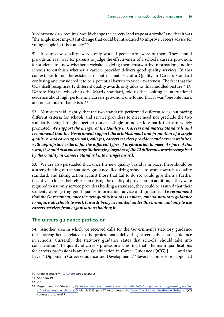<span id="page-24-0"></span>'recommends' to 'requires' would change the careers landscape at a stroke" and that it was "the single most important change that could be introduced to improve careers advice for young people in this country".90

51. In our view, quality awards only work if people are aware of them. They should provide an easy way for parents to judge the effectiveness of a school's careers provision, for students to know whether a website is giving them trustworthy information, and for schools to establish whether a careers provider delivers good quality services. In this context, we found the existence of both a matrix and a Quality in Careers Standard confusing and considered it to be a potential barrier to wider awareness. The fact that the QCS itself recognises 12 different quality awards only adds to this muddled picture.<sup>91</sup> Dr Deirdre Hughes, who chairs the Matrix standard, told us that looking at international evidence about high performing careers provision, one found that it was "one kite mark and one standard that exists".92

52. Ministers said, rightly, that the two standards performed different roles, but having different criteria for schools and service providers to meet need not preclude the two standards being brought together under a single brand or kite mark that can widely promoted. *We support the merger of the Quality in Careers and matrix Standards and recommend that the Government support the establishment and promotion of a single quality brand covering schools, colleges, careers services providers and careers websites, with appropriate criteria for the different types of organisation to meet. As part of this work, it should also encourage the bringing together of the 12 different awards recognised by the Quality in Careers Standard into a single award.*

53. We are also persuaded that, once the new quality brand is in place, there should be a strengthening of the statutory guidance. Requiring schools to work towards a quality standard, and taking action against those that fail to do so, would give them a further incentive to focus their efforts on raising the quality of provision. In addition, if they were required to use only service providers holding a standard, they could be assured that their students were getting good quality information, advice and guidance. *We recommend that the Government, once the new quality brand is in place, amend statutory guidance to require all schools to work towards being accredited under this brand, and only to use careers services from organisations holding it.*

#### **The careers guidance profession**

54. Another area in which we received calls for the Government's statutory guidance to be strengthened related to the professionals delivering careers advice and guidance in schools. Currently, the statutory guidance states that schools "should take into consideration" the quality of careers professionals, noting that "the main qualifications for careers professionals are the Qualification in Career Guidance (QCG) [ … ] and the Level 6 Diploma in Career Guidance and Development".<sup>93</sup> Several submissions supported

<sup>90</sup> Graham Stuart MP ([CAD 50](http://data.parliament.uk/writtenevidence/committeeevidence.svc/evidencedocument/subcommittee-on-education-skills-and-the-economy/careers-advice-information-and-guidance/written/27055.html)) paras 10 and 2

<sup>91</sup> See para 49.

<sup>92</sup> Q6

<sup>93</sup> Department for Education, *[Careers guidance and inspiration in schools: Statutory guidance for governing bodies,](https://www.gov.uk/government/uploads/system/uploads/attachment_data/file/440795/Careers_Guidance_Schools_Guidance.pdf) [school leaders and school staff](https://www.gov.uk/government/uploads/system/uploads/attachment_data/file/440795/Careers_Guidance_Schools_Guidance.pdf)*, March 2015, para 67. According to the [Career Development Institute website](http://www.thecdi.net/Qualification-in-Career-Guidance), all QCG courses are at level 7.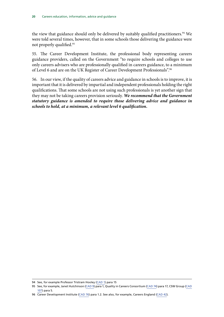the view that guidance should only be delivered by suitably qualified practitioners.<sup>94</sup> We were told several times, however, that in some schools those delivering the guidance were not properly qualified.95

55. The Career Development Institute, the professional body representing careers guidance providers, called on the Government "to require schools and colleges to use only careers advisers who are professionally qualified in careers guidance, to a minimum of Level 6 and are on the UK Register of Career Development Professionals".96

56. In our view, if the quality of careers advice and guidance in schools is to improve, it is important that it is delivered by impartial and independent professionals holding the right qualifications. That some schools are not using such professionals is yet another sign that they may not be taking careers provision seriously. *We recommend that the Government statutory guidance is amended to require those delivering advice and guidance in schools to hold, at a minimum, a relevant level 6 qualification.*

<sup>94</sup> See, for example Professor Tristram Hooley [\(CAD 1\)](http://data.parliament.uk/writtenevidence/committeeevidence.svc/evidencedocument/subcommittee-on-education-skills-and-the-economy/careers-advice-information-and-guidance/written/25775.html) para 15

<sup>95</sup> See, for example, Janet Hutchinson ([CAD 9\)](http://data.parliament.uk/writtenevidence/committeeevidence.svc/evidencedocument/subcommittee-on-education-skills-and-the-economy/careers-advice-information-and-guidance/written/26683.html) para 1, Quality in Careers Consortium [\(CAD 74](http://data.parliament.uk/writtenevidence/committeeevidence.svc/evidencedocument/subcommittee-on-education-skills-and-the-economy/careers-advice-information-and-guidance/written/27084.html)) para 17, CSW Group [\(CAD](http://data.parliament.uk/writtenevidence/committeeevidence.svc/evidencedocument/subcommittee-on-education-skills-and-the-economy/careers-advice-information-and-guidance/written/27127.html) [107\)](http://data.parliament.uk/writtenevidence/committeeevidence.svc/evidencedocument/subcommittee-on-education-skills-and-the-economy/careers-advice-information-and-guidance/written/27127.html) para 5.

<sup>96</sup> Career Development Institute ([CAD 76](http://data.parliament.uk/writtenevidence/committeeevidence.svc/evidencedocument/subcommittee-on-education-skills-and-the-economy/careers-advice-information-and-guidance/written/27086.html)) para 1.2. See also, for example, Careers England ([CAD 42](http://data.parliament.uk/writtenevidence/committeeevidence.svc/evidencedocument/subcommittee-on-education-skills-and-the-economy/careers-advice-information-and-guidance/written/27037.html)).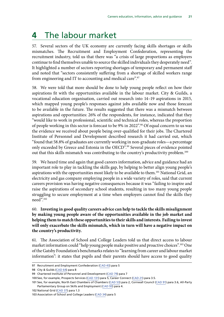# <span id="page-26-0"></span>**4** The labour market

57. Several sectors of the UK economy are currently facing skills shortages or skills mismatches. The Recruitment and Employment Confederation, representing the recruitment industry, told us that there was "a crisis of large proportions as employers continue to find themselves unable to source the skilled individuals they desperately need". It highlighted a number of sectors reporting shortages of temporary and permanent staff and noted that "sectors consistently suffering from a shortage of skilled workers range from engineering and IT to accounting and medical care".97

58. We were told that more should be done to help young people reflect on how their aspirations fit with the opportunities available in the labour market. City & Guilds, a vocational education organisation, carried out research into 14–19 aspirations in 2015, which mapped young people's responses against jobs available now and those forecast to be available in the future. The results suggested that there was a mismatch between aspirations and opportunities: 26% of the respondents, for instance, indicated that they "would like to work in professional, scientific and technical roles, whereas the proportion of people working in this sector is forecast to be 9% in 2022".98 Of equal concern to us was the evidence we received about people being over-qualified for their jobs. The Chartered Institute of Personnel and Development described research it had carried out, which "found that 58.8% of graduates are currently working in non-graduate roles—a percentage only exceeded by Greece and Estonia in the OECD".<sup>99</sup> Several pieces of evidence pointed out that this skills mismatch was contributing to the country's productivity problem.<sup>100</sup>

59. We heard time and again that good careers information, advice and guidance had an important role to play in tackling the skills gap, by helping to better align young people's aspirations with the opportunities most likely to be available to them.<sup>101</sup> National Grid, an electricity and gas company employing people in a wide variety of roles, said that current careers provision was having negative consequences because it was "failing to inspire and raise the aspirations of secondary school students, resulting in too many young people struggling to secure employment at a time when employers cannot find the skills they need".102

#### 60. **Investing in good quality careers advice can help to tackle the skills misalignment by making young people aware of the opportunities available in the job market and helping them to match these opportunities to their skills and interests. Failing to invest will only exacerbate the skills mismatch, which in turn will have a negative impact on the country's productivity.**

61. The Association of School and College Leaders told us that direct access to labour market information could "help young people make positive and proactive choices".<sup>103</sup> One of the Gatsby Foundation's benchmarks relates to "learning from career and labour market information": it states that pupils and their parents should have access to good quality

<sup>97</sup> Recruitment and Employment Confederation ([CAD 43](http://data.parliament.uk/writtenevidence/committeeevidence.svc/evidencedocument/subcommittee-on-education-skills-and-the-economy/careers-advice-information-and-guidance/written/27040.html)) para 5

<sup>98</sup> City & Guilds [\(CAD 64](http://data.parliament.uk/writtenevidence/committeeevidence.svc/evidencedocument/subcommittee-on-education-skills-and-the-economy/careers-advice-information-and-guidance/written/27073.html)) para 8

<sup>99</sup> Chartered Institute of Personnel and Development [\(CAD 79\)](http://data.parliament.uk/writtenevidence/committeeevidence.svc/evidencedocument/subcommittee-on-education-skills-and-the-economy/careers-advice-information-and-guidance/written/27090.html) para 7

<sup>100</sup> See, for example, Prospects Services ([CAD 131\)](http://data.parliament.uk/writtenevidence/committeeevidence.svc/evidencedocument/subcommittee-on-education-skills-and-the-economy/careers-advice-information-and-guidance/written/27269.html) para 5, Career Connect ([CAD 21\)](http://data.parliament.uk/writtenevidence/committeeevidence.svc/evidencedocument/subcommittee-on-education-skills-and-the-economy/careers-advice-information-and-guidance/written/26960.html) para 3.5.

<sup>101</sup> See, for example, North East Chambers of Chambers [\(CAD 53\)](http://data.parliament.uk/writtenevidence/committeeevidence.svc/evidencedocument/subcommittee-on-education-skills-and-the-economy/careers-advice-information-and-guidance/written/27058.html) para 2, Cornwall Council ([CAD 91\)](http://data.parliament.uk/writtenevidence/committeeevidence.svc/evidencedocument/subcommittee-on-education-skills-and-the-economy/careers-advice-information-and-guidance/written/27103.html) para 3.6, All-Party Parliamentary Group on Skills and Employment [\(CAD 93\)](http://data.parliament.uk/writtenevidence/committeeevidence.svc/evidencedocument/subcommittee-on-education-skills-and-the-economy/careers-advice-information-and-guidance/written/27105.html) para 4.

<sup>102</sup> National Grid ([CAD 37](http://data.parliament.uk/writtenevidence/committeeevidence.svc/evidencedocument/subcommittee-on-education-skills-and-the-economy/careers-advice-information-and-guidance/written/27026.html)) para 1.3

<sup>103</sup> Association of School and College Leaders [\(CAD 34\)](http://data.parliament.uk/writtenevidence/committeeevidence.svc/evidencedocument/subcommittee-on-education-skills-and-the-economy/careers-advice-information-and-guidance/written/27006.html) para 5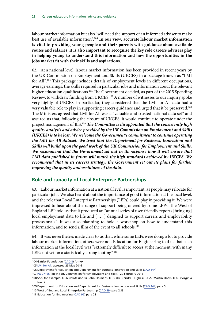<span id="page-27-0"></span>labour market information but also "will need the support of an informed adviser to make best use of available information".104 **In our view, accurate labour market information is vital to providing young people and their parents with guidance about available routes and salaries; it is also important to recognise the key role careers advisers play in helping young to understand this information and how the opportunities in the jobs market fit with their skills and aspirations.**

62. At a national level, labour market information has been provided in recent years by the UK Commission on Employment and Skills (UKCES) in a package known as "LMI for All".105 This package includes details of employment levels in different occupations, average earnings, the skills required in particular jobs and information about the relevant higher education qualifications.<sup>106</sup> The Government decided, as part of the 2015 Spending Review, to withdraw funding from UKCES.107 A number of witnesses to our inquiry spoke very highly of UKCES: in particular, they considered that the LMI for All data had a very valuable role to play in supporting careers guidance and urged that it be preserved.<sup>108</sup> The Ministers agreed that LMI for All was a "valuable and trusted national data set" and assured us that, following the closure of UKCES, it would continue to operate under the project management of BIS.109 *The Committee is disappointed that the consistently high quality analysis and advice provided by the UK Commission on Employment and Skills (UKCES) is to be lost. We welcome the Government's commitment to continue operating the LMI for All dataset. We trust that the Department for Business, Innovation and Skills will build upon the good work of the UK Commission for Employment and Skills. We recommend that the Government set out in its response how it will ensure that LMI data published in future will match the high standards achieved by UKCES. We recommend that in its careers strategy, the Government set out its plans for further improving the quality and usefulness of the data.*

#### **Role and capacity of Local Enterprise Partnerships**

63. Labour market information at a national level is important, as people may relocate for particular jobs. We also heard about the importance of good information at the local level, and the role that Local Enterprise Partnerships (LEPs) could play in providing it. We were impressed to hear about the range of support being offered by some LEPs. The West of England LEP told us that it produced an "annual series of user-friendly reports [bringing] local employment data to life and [ … ] designed to support careers and employability professionals". It was also planning to hold a workshop on how to understand this information, and to send a film of the event to all schools.<sup>110</sup>

64. It was nevertheless made clear to us that, while some LEPs were doing a lot to provide labour market information, others were not. Education for Engineering told us that such information at the local level was "extremely difficult to access at the moment, with many LEPs not yet on a statistically strong footing".<sup>111</sup>

<sup>104</sup> Gatsby Foundation ([CAD 8\)](http://data.parliament.uk/writtenevidence/committeeevidence.svc/evidencedocument/subcommittee-on-education-skills-and-the-economy/careers-advice-information-and-guidance/written/26681.html) Annex

<sup>105</sup> [LMI for All](http://www.lmiforall.org.uk/), accessed 25 May 2016

<sup>106</sup> Department for Education and Department for Business, Innovation and Skills ([CAD 144](http://data.parliament.uk/writtenevidence/committeeevidence.svc/evidencedocument/subcommittee-on-education-skills-and-the-economy/careers-advice-information-and-guidance/written/33338.html))

<sup>107</sup> PQ [27196](http://www.parliament.uk/written-questions-answers-statements/written-question/commons/2016-02-11/27196) [on the UK Commission for Employment and Skills], 22 February 2016

<sup>108</sup> See, for example, Q 37 (Professor Sir John Holman), Q 39 (Dr Deirdre Hughes), Q 55 (Martin Doel), Q 88 (Virginia Isaac).

<sup>109</sup> Department for Education and Department for Business, Innovation and Skills ([CAD 144](http://data.parliament.uk/writtenevidence/committeeevidence.svc/evidencedocument/subcommittee-on-education-skills-and-the-economy/careers-advice-information-and-guidance/written/33338.html)) para 5

<sup>110</sup> West of England Local Enterprise Partnership [\(CAD 89\)](http://data.parliament.uk/writtenevidence/committeeevidence.svc/evidencedocument/subcommittee-on-education-skills-and-the-economy/careers-advice-information-and-guidance/written/27101.html) para 2.13

<sup>111</sup> Education for Engineering ([CAD 96\)](http://data.parliament.uk/writtenevidence/committeeevidence.svc/evidencedocument/subcommittee-on-education-skills-and-the-economy/careers-advice-information-and-guidance/written/27111.html) para 28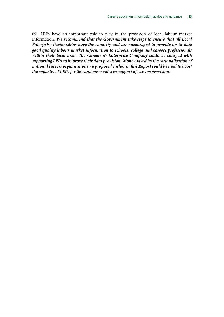65. LEPs have an important role to play in the provision of local labour market information. *We recommend that the Government take steps to ensure that all Local Enterprise Partnerships have the capacity and are encouraged to provide up-to-date good quality labour market information to schools, college and careers professionals within their local area. The Careers & Enterprise Company could be charged with supporting LEPs to improve their data provision. Money saved by the rationalisation of national careers organisations we proposed earlier in this Report could be used to boost the capacity of LEPs for this and other roles in support of careers provision.*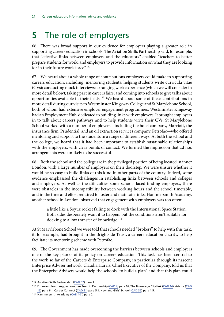# <span id="page-29-0"></span>**5** The role of employers

66. There was broad support in our evidence for employers playing a greater role in supporting careers education in schools. The Aviation Skills Partnership said, for example, that "effective links between employers and the educators" enabled "teachers to better prepare students for work, and employers to provide information on what they are looking for in their future work-force".<sup>112</sup>

<span id="page-29-1"></span>67. We heard about a whole range of contributions employers could make to supporting careers education, including: mentoring students; helping students write curricula vitae (CVs); conducting mock interviews; arranging work experience (which we will consider in more detail below); taking part in careers fairs; and coming into schools to give talks about opportunities available in their fields.113 We heard about some of these contributions in more detail during our visits to Westminster Kingsway College and St Marylebone School, both of whom had extensive employer engagement programmes. Westminster Kingsway had an Employment Hub, dedicated to building links with employers. It brought employers in to talk about careers pathways and to help students write their CVs. St Marylebone School worked with a number of employers—including the hotel company, Marriott, the insurance firm, Prudential, and an oil extraction services company, Petrofac—who offered mentoring and support to the students in a range of different ways. At both the school and the college, we heard that it had been important to establish sustainable relationships with the employers, with clear points of contact. We formed the impression that ad hoc arrangements were unlikely to be successful.

68. Both the school and the college are in the privileged position of being located in inner London, with a large number of employers on their doorstep. We were unsure whether it would be so easy to build links of this kind in other parts of the country. Indeed, some evidence emphasised the challenges in establishing links between schools and colleges and employers. As well as the difficulties some schools faced finding employers, there were obstacles in the incompatibility between working hours and the school timetable, and in the time and effort required to foster and maintain links. Hammersmith Academy, another school in London, observed that engagement with employers was too often:

a little like a Soyuz rocket failing to dock with the International Space Station. Both sides desperately want it to happen, but the conditions aren't suitable for docking to allow transfer of knowledge.<sup>114</sup>

At St Marylebone School we were told that schools needed "brokers" to help with this task: it, for example, had brought in the Brightside Trust, a careers education charity, to help facilitate its mentoring scheme with Petrofac.

<span id="page-29-2"></span>69. The Government has made overcoming the barriers between schools and employers one of the key planks of its policy on careers education. This task has been central to the work so far of the Careers & Enterprise Company, in particular through its nascent Enterprise Adviser network. Claudia Harris, Chief Executive of the Company, told us that the Enterprise Advisers would help the schools "to build a plan" and that this plan could

<sup>112</sup> Aviation Skills Partnership ([CAD 32](http://data.parliament.uk/writtenevidence/committeeevidence.svc/evidencedocument/subcommittee-on-education-skills-and-the-economy/careers-advice-information-and-guidance/written/27003.html)) para 1

<sup>113</sup> For examples of suggestions, see Reed in Partnership [\(CAD 4](http://data.parliament.uk/writtenevidence/committeeevidence.svc/evidencedocument/subcommittee-on-education-skills-and-the-economy/careers-advice-information-and-guidance/written/26451.html)) para 16, The Brokerage CityLink ([CAD 14](http://data.parliament.uk/writtenevidence/committeeevidence.svc/evidencedocument/subcommittee-on-education-skills-and-the-economy/careers-advice-information-and-guidance/written/26898.html)), Adviza [\(CAD](http://data.parliament.uk/writtenevidence/committeeevidence.svc/evidencedocument/subcommittee-on-education-skills-and-the-economy/careers-advice-information-and-guidance/written/26906.html) [16\)](http://data.parliament.uk/writtenevidence/committeeevidence.svc/evidencedocument/subcommittee-on-education-skills-and-the-economy/careers-advice-information-and-guidance/written/26906.html) para 6.1, Career Connect [\(CAD 21](http://data.parliament.uk/writtenevidence/committeeevidence.svc/evidencedocument/subcommittee-on-education-skills-and-the-economy/careers-advice-information-and-guidance/written/26960.html)) para 5.1, Newland Girls' School [\(CAD 36](http://data.parliament.uk/writtenevidence/committeeevidence.svc/evidencedocument/subcommittee-on-education-skills-and-the-economy/careers-advice-information-and-guidance/written/27025.html)) para 1.5.

<sup>114</sup> Hammersmith Academy [\(CAD 101](http://data.parliament.uk/writtenevidence/committeeevidence.svc/evidencedocument/subcommittee-on-education-skills-and-the-economy/careers-advice-information-and-guidance/written/27118.html)) para 2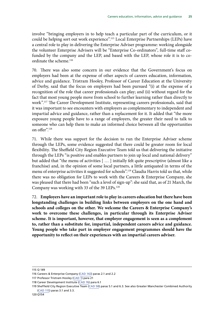involve "bringing employers in to help teach a particular part of the curriculum, or it could be helping sort out work experience".115 Local Enterprise Partnerships (LEPs) have a central role to play in delivering the Enterprise Adviser programme: working alongside the volunteer Enterprise Advisers will be "Enterprise Co-ordinators", full-time staff cofunded by the company and the LEP, and based with the LEP, whose role it is to coordinate the scheme.<sup>116</sup>

70. There was also some concern in our evidence that the Government's focus on employers had been at the expense of other aspects of careers education, information, advice and guidance. Tristram Hooley, Professor of Career Education at the University of Derby, said that the focus on employers had been pursued "(i) at the expense of a recognition of the role that career professionals can play; and (ii) without regard for the fact that most young people move from school to further learning rather than directly to work".117 The Career Development Institute, representing careers professionals, said that it was important to see encounters with employers as complementary to independent and impartial advice and guidance, rather than a replacement for it. It added that "the more exposure young people have to a range of employers, the greater their need to talk to someone who can help them to make an informed choice between all the opportunities on offer".118

71. While there was support for the decision to run the Enterprise Adviser scheme through the LEPs, some evidence suggested that there could be greater room for local flexibility. The Sheffield City Region Executive Team told us that delivering the initiative through the LEPs "is positive and enables partners to join up local and national delivery" but added that "the menu of activities [ … ] initially felt quite prescriptive (almost like a franchise) and, in the opinion of some local partners, a little antiquated in terms of the menu of enterprise activities it suggested for schools".<sup>119</sup> Claudia Harris told us that, while there was no obligation for LEPs to work with the Careers & Enterprise Company, she was pleased that there had been "such a level of sign-up": she said that, as of 21 March, the Company was working with 33 of the 39 LEPs.120

72. **Employers have an important role to play in careers education but there have been longstanding challenges in building links between employers on the one hand and schools and colleges on the other. We welcome the Careers & Enterprise Company's work to overcome these challenges, in particular through its Enterprise Adviser scheme. It is important, however, that employer engagement is seen as a complement to, rather than a substitute for, impartial, independent careers advice and guidance. Young people who take part in employer engagement programmes should have the opportunity to reflect on their experiences with an impartial careers adviser.**

<sup>115</sup> Q 149

<sup>116</sup> Careers & Enterprise Company [\(CAD 142\)](http://data.parliament.uk/writtenevidence/committeeevidence.svc/evidencedocument/subcommittee-on-education-skills-and-the-economy/careers-advice-information-and-guidance/written/32460.html) paras 2.1 and 2.2

<sup>117</sup> Professor Tristram Hooley [\(CAD 1](http://data.parliament.uk/writtenevidence/committeeevidence.svc/evidencedocument/subcommittee-on-education-skills-and-the-economy/careers-advice-information-and-guidance/written/25775.html)) para 21

<sup>118</sup> Career Development Institute ([CAD 76](http://data.parliament.uk/writtenevidence/committeeevidence.svc/evidencedocument/subcommittee-on-education-skills-and-the-economy/careers-advice-information-and-guidance/written/27086.html)) para 6.1

<sup>119</sup> Sheffield City Region Executive Team [\(CAD 58](http://data.parliament.uk/writtenevidence/committeeevidence.svc/evidencedocument/subcommittee-on-education-skills-and-the-economy/careers-advice-information-and-guidance/written/27064.html)) paras 5.1 and 6.3. See also Greater Manchester Combined Authority ([CAD 115\)](http://data.parliament.uk/writtenevidence/committeeevidence.svc/evidencedocument/subcommittee-on-education-skills-and-the-economy/careers-advice-information-and-guidance/written/27142.html) paras 3.1 and 3.3.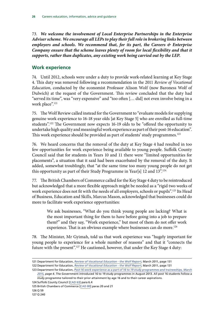<span id="page-31-0"></span>73. *We welcome the involvement of Local Enterprise Partnerships in the Enterprise Adviser scheme. We encourage all LEPs to play their full role in brokering links between employers and schools. We recommend that, for its part, the Careers & Enterprise*  Company ensure that the scheme leaves plenty of room for local flexibility and that it *supports, rather than duplicates, any existing work being carried out by the LEP.*

#### **Work experience**

74. Until 2012, schools were under a duty to provide work-related learning at Key Stage 4. This duty was removed following a recommendation in the 2011 *Review of Vocational Education*, conducted by the economist Professor Alison Wolf (now Baroness Wolf of Dulwich) at the request of the Government. This review concluded that the duty had "served its time", was "very expensive" and "too often [… did] not even involve being in a work place".<sup>121</sup>

75. The Wolf Review called instead for the Government to "evaluate models for supplying genuine work experience to 16-18 year olds [at Key Stage 5] who are enrolled as full-time students".122 The Government now expects 16-19 olds to be "offered the opportunity to undertake high quality and meaningful work experience as part of their post-16 education". This work experience should be provided as part of students' study programmes.<sup>123</sup>

76. We heard concerns that the removal of the duty at Key Stage 4 had resulted in too few opportunities for work experience being available to young people. Suffolk County Council said that for students in Years 10 and 11 there were "limited opportunities for placements", a situation that it said had been exacerbated by the removal of the duty. It added, somewhat troublingly, that "at the same time too many young people do not get this opportunity as part of their Study Programme in Year[s] 12 and 13".<sup>124</sup>

77. The British Chambers of Commerce called for the Key Stage 4 duty to be reintroduced but acknowledged that a more flexible approach might be needed as a "rigid two weeks of work experience does not fit with the needs of all employers, schools or pupils".125 Its Head of Business, Education and Skills, Marcus Mason, acknowledged that businesses could do more to facilitate work experience opportunities:

We ask businesses, "What do you think young people are lacking? What is the most important thing for them to have before going into a job to prepare them?" and they say, "Work experience," but most of them do not offer work experience. That is an obvious example where businesses can do more.<sup>126</sup>

78. The Minister, Mr Gyimah, told us that work experience was "hugely important for young people to experience for a whole number of reasons" and that it "connects the future with the present".<sup>127</sup> He cautioned, however, that under the Key Stage 4 duty:

124 Suffolk County Council [[CAD 63](http://data.parliament.uk/writtenevidence/committeeevidence.svc/evidencedocument/subcommittee-on-education-skills-and-the-economy/careers-advice-information-and-guidance/written/27072.html)] para 6.4

<sup>121</sup> Department for Education, *[Review of Vocational Education - the Wolf Report](https://www.gov.uk/government/uploads/system/uploads/attachment_data/file/180504/DFE-00031-2011.pdf)*, March 2011, page 131

<sup>122</sup> Department for Education, *[Review of Vocational Education - the Wolf Report](https://www.gov.uk/government/uploads/system/uploads/attachment_data/file/180504/DFE-00031-2011.pdf)*, March 2011, page 131

<sup>123</sup> Department for Education, *[Post-16 work experience as a part of 16 to 19 study programmes and traineeships,](https://www.gov.uk/government/uploads/system/uploads/attachment_data/file/416026/130332015_DfE_dept_advice_post-16_WEx_-_final.pdf) March 2015, page 4.* The Government introduced 16 to 19 study programmes in August 2013. All post 16 students follow a study programme tailored to their prior attainment by age 16 and to their career aspirations.

<sup>125</sup> British Chambers of Commerce [[CAD 80](http://data.parliament.uk/writtenevidence/committeeevidence.svc/evidencedocument/subcommittee-on-education-skills-and-the-economy/careers-advice-information-and-guidance/written/27091.html)] paras 20 and 21

<sup>126</sup> Q 59

<sup>127</sup> Q 240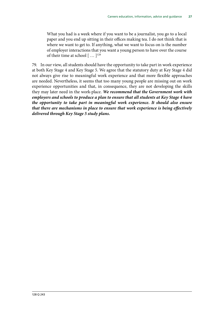What you had is a week where if you want to be a journalist, you go to a local paper and you end up sitting in their offices making tea. I do not think that is where we want to get to. If anything, what we want to focus on is the number of employer interactions that you want a young person to have over the course of their time at school  $[$  ...  $]^{128}$ 

79. In our view, all students should have the opportunity to take part in work experience at both Key Stage 4 and Key Stage 5. We agree that the statutory duty at Key Stage 4 did not always give rise to meaningful work experience and that more flexible approaches are needed. Nevertheless, it seems that too many young people are missing out on work experience opportunities and that, in consequence, they are not developing the skills they may later need in the work-place. *We recommend that the Government work with employers and schools to produce a plan to ensure that all students at Key Stage 4 have the opportunity to take part in meaningful work experience. It should also ensure that there are mechanisms in place to ensure that work experience is being effectively delivered through Key Stage 5 study plans.*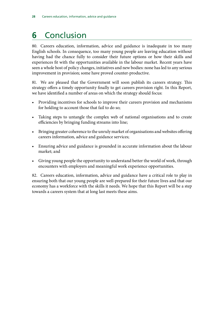# <span id="page-33-0"></span>**6** Conclusion

80. Careers education, information, advice and guidance is inadequate in too many English schools. In consequence, too many young people are leaving education without having had the chance fully to consider their future options or how their skills and experiences fit with the opportunities available in the labour market. Recent years have seen a whole host of policy changes, initiatives and new bodies: none has led to any serious improvement in provision; some have proved counter-productive.

81. We are pleased that the Government will soon publish its careers strategy. This strategy offers a timely opportunity finally to get careers provision right. In this Report, we have identified a number of areas on which the strategy should focus:

- Providing incentives for schools to improve their careers provision and mechanisms for holding to account those that fail to do so;
- Taking steps to untangle the complex web of national organisations and to create efficiencies by bringing funding streams into line;
- Bringing greater coherence to the unruly market of organisations and websites offering careers information, advice and guidance services;
- Ensuring advice and guidance is grounded in accurate information about the labour market; and
- Giving young people the opportunity to understand better the world of work, through encounters with employers and meaningful work experience opportunities.

82. Careers education, information, advice and guidance have a critical role to play in ensuring both that our young people are well-prepared for their future lives and that our economy has a workforce with the skills it needs. We hope that this Report will be a step towards a careers system that at long last meets these aims.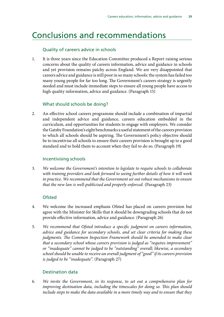### <span id="page-34-0"></span>Conclusions and recommendations

#### Quality of careers advice in schools

1. It is three years since the Education Committee produced a Report raising serious concerns about the quality of careers information, advice and guidance in schools and yet provision remains patchy across England. We are very disappointed that careers advice and guidance is still poor in so many schools: the system has failed too many young people for far too long. The Government's careers strategy is urgently needed and must include immediate steps to ensure all young people have access to high quality information, advice and guidance. (Paragraph 15)

#### What should schools be doing?

2. An effective school careers programme should include a combination of impartial and independent advice and guidance, careers education embedded in the curriculum, and opportunities for students to engage with employers. We consider the Gatsby Foundation's eight benchmarks a useful statement of the careers provision to which all schools should be aspiring. The Government's policy objective should be to incentivise all schools to ensure their careers provision is brought up to a good standard and to hold them to account when they fail to do so. (Paragraph 19)

#### Incentivising schools

3. *We welcome the Government's intention to legislate to require schools to collaborate with training providers and look forward to seeing further details of how it will work in practice. We recommend that the Government set out robust mechanisms to ensure that the new law is well-publicised and properly enforced.* (Paragraph 23)

#### **Ofsted**

- 4. We welcome the increased emphasis Ofsted has placed on careers provision but agree with the Minister for Skills that it should be downgrading schools that do not provide effective information, advice and guidance. (Paragraph 26)
- 5. *We recommend that Ofsted introduce a specific judgment on careers information, advice and guidance for secondary schools, and set clear criteria for making these judgments. The Common Inspection Framework should be amended to make clear that a secondary school whose careers provision is judged as "requires improvement" or "inadequate" cannot be judged to be "outstanding" overall; likewise, a secondary school should be unable to receive an overall judgment of "good" if its careers provision is judged to be "inadequate".* (Paragraph 27)

#### Destination data

6. *We invite the Government, in its response, to set out a comprehensive plan for improving destination data, including the timescales for doing so. This plan should include steps to make the data available in a more timely way and to ensure that they*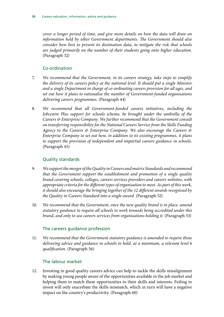*cover a longer period of time, and give more details on how the data will draw on information held by other Government departments. The Government should also consider how best to present its destination data, to mitigate the risk that schools are judged primarily on the number of their students going onto higher education.*  (Paragraph 32)

#### Co-ordination

- 7. *We recommend that the Government, in its careers strategy, take steps to simplify the delivery of its careers policy at the national level. It should put a single Minister and a single Department in charge of co-ordinating careers provision for all ages, and set out how it plans to rationalise the number of Government-funded organisations delivering careers programmes.* (Paragraph 44)
- 8. *We recommend that all Government-funded careers initiatives, including the Jobcentre Plus support for schools scheme, be brought under the umbrella of the Careers & Enterprise Company. We further recommend that the Government consult on transferring responsibility for the National Careers Service from the Skills Funding Agency to the Careers & Enterprise Company. We also encourage the Careers & Enterprise Company to set out how, in addition to its existing programmes, it plans to support the provision of independent and impartial careers guidance in schools.*  (Paragraph 45)

### Quality standards

- 9. *We support the merger of the Quality in Careers and matrix Standards and recommend that the Government support the establishment and promotion of a single quality brand covering schools, colleges, careers services providers and careers websites, with appropriate criteria for the different types of organisation to meet. As part of this work, it should also encourage the bringing together of the 12 different awards recognised by the Quality in Careers Standard into a single award.* (Paragraph 52)
- 10. *We recommend that the Government, once the new quality brand is in place, amend statutory guidance to require all schools to work towards being accredited under this brand, and only to use careers services from organisations holding it.* (Paragraph 53)

#### The careers guidance profession

11. *We recommend that the Government statutory guidance is amended to require those delivering advice and guidance in schools to hold, at a minimum, a relevant level 6 qualification.* (Paragraph 56)

### The labour market

12. Investing in good quality careers advice can help to tackle the skills misalignment by making young people aware of the opportunities available in the job market and helping them to match these opportunities to their skills and interests. Failing to invest will only exacerbate the skills mismatch, which in turn will have a negative impact on the country's productivity. (Paragraph 60)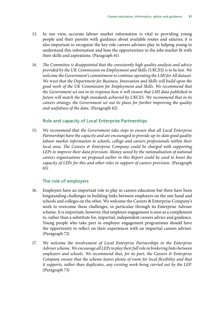- 13. In our view, accurate labour market information is vital to providing young people and their parents with guidance about available routes and salaries; it is also important to recognise the key role careers advisers play in helping young to understand this information and how the opportunities in the jobs market fit with their skills and aspirations. (Paragraph 61)
- 14. *The Committee is disappointed that the consistently high quality analysis and advice provided by the UK Commission on Employment and Skills (UKCES) is to be lost. We welcome the Government's commitment to continue operating the LMI for All dataset. We trust that the Department for Business, Innovation and Skills will build upon the good work of the UK Commission for Employment and Skills. We recommend that the Government set out in its response how it will ensure that LMI data published in future will match the high standards achieved by UKCES. We recommend that in its careers strategy, the Government set out its plans for further improving the quality and usefulness of the data.* (Paragraph 62)

#### Role and capacity of Local Enterprise Partnerships

15. *We recommend that the Government take steps to ensure that all Local Enterprise Partnerships have the capacity and are encouraged to provide up-to-date good quality*  labour market information to schools, college and careers professionals within their *local area. The Careers & Enterprise Company could be charged with supporting*  LEPs to improve their data provision. Money saved by the rationalisation of national *careers organisations we proposed earlier in this Report could be used to boost the capacity of LEPs for this and other roles in support of careers provision.* (Paragraph 65)

#### The role of employers

- 16. Employers have an important role to play in careers education but there have been longstanding challenges in building links between employers on the one hand and schools and colleges on the other. We welcome the Careers & Enterprise Company's work to overcome these challenges, in particular through its Enterprise Adviser scheme. It is important, however, that employer engagement is seen as a complement to, rather than a substitute for, impartial, independent careers advice and guidance. Young people who take part in employer engagement programmes should have the opportunity to reflect on their experiences with an impartial careers adviser. (Paragraph 72)
- 17. *We welcome the involvement of Local Enterprise Partnerships in the Enterprise Adviser scheme. We encourage all LEPs to play their full role in brokering links between employers and schools. We recommend that, for its part, the Careers & Enterprise Company ensure that the scheme leaves plenty of room for local flexibility and that it supports, rather than duplicates, any existing work being carried out by the LEP.* (Paragraph 73)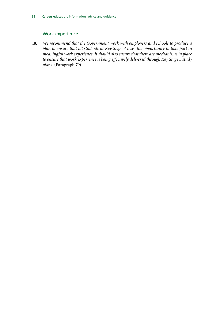#### Work experience

18. *We recommend that the Government work with employers and schools to produce a plan to ensure that all students at Key Stage 4 have the opportunity to take part in meaningful work experience. It should also ensure that there are mechanisms in place to ensure that work experience is being effectively delivered through Key Stage 5 study plans.* (Paragraph 79)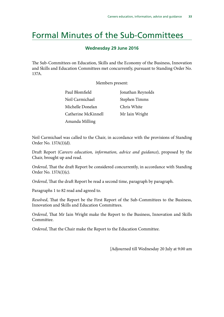### <span id="page-38-0"></span>Formal Minutes of the Sub-Committees

#### **Wednesday 29 June 2016**

The Sub-Committees on Education, Skills and the Economy of the Business, Innovation and Skills and Education Committees met concurrently, pursuant to Standing Order No. 137A.

Members present:

| Paul Blomfield      | Jonathan Reynolds |
|---------------------|-------------------|
| Neil Carmichael     | Stephen Timms     |
| Michelle Donelan    | Chris White       |
| Catherine McKinnell | Mr Iain Wright    |
| Amanda Milling      |                   |

Neil Carmichael was called to the Chair, in accordance with the provisions of Standing Order No. 137A(1)(d).

Draft Report (*Careers education, information, advice and guidance*), proposed by the Chair, brought up and read.

*Ordered*, That the draft Report be considered concurrently, in accordance with Standing Order No. 137A(1)(c).

*Ordered*, That the draft Report be read a second time, paragraph by paragraph.

Paragraphs 1 to 82 read and agreed to.

*Resolved*, That the Report be the First Report of the Sub-Committees to the Business, Innovation and Skills and Education Committees.

*Ordered*, That Mr Iain Wright make the Report to the Business, Innovation and Skills Committee.

*Ordered*, That the Chair make the Report to the Education Committee.

[Adjourned till Wednesday 20 July at 9.00 am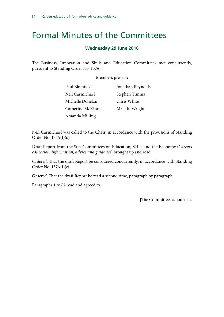## <span id="page-39-0"></span>Formal Minutes of the Committees

#### **Wednesday 29 June 2016**

The Business, Innovation and Skills and Education Committees met concurrently, pursuant to Standing Order No. 137A.

Members present:

| Paul Blomfield      | Jonathan Reynolds |
|---------------------|-------------------|
| Neil Carmichael     | Stephen Timms     |
| Michelle Donelan    | Chris White       |
| Catherine McKinnell | Mr Iain Wright    |
| Amanda Milling      |                   |

Neil Carmichael was called to the Chair, in accordance with the provisions of Standing Order No. 137A(1)(d).

Draft Report from the Sub-Committees on Education, Skills and the Economy (*Careers education, information, advice and guidance*) brought up and read.

*Ordered*, That the draft Report be considered concurrently, in accordance with Standing Order No. 137A(1)(c).

*Ordered*, That the draft Report be read a second time, paragraph by paragraph.

Paragraphs 1 to 82 read and agreed to.

[The Committees adjourned.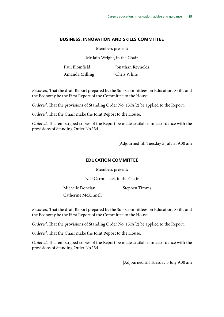#### **BUSINESS, INNOVATION AND SKILLS COMMITTEE**

Members present:

Mr Iain Wright, in the Chair

Paul Blomfield Amanda Milling Jonathan Reynolds Chris White

*Resolved*, That the draft Report prepared by the Sub-Committees on Education, Skills and the Economy be the First Report of the Committee to the House.

*Ordered*, That the provisions of Standing Order No. 137A(2) be applied to the Report.

*Ordered*, That the Chair make the Joint Report to the House.

*Ordered*, That embargoed copies of the Report be made available, in accordance with the provisions of Standing Order No.134.

[Adjourned till Tuesday 5 July at 9.00 am

#### **EDUCATION COMMITTEE**

Members present:

Neil Carmichael, in the Chair

Michelle Donelan

Stephen Timms

Catherine McKinnell

*Resolved*, That the draft Report prepared by the Sub-Committees on Education, Skills and the Economy be the First Report of the Committee to the House.

*Ordered*, That the provisions of Standing Order No. 137A(2) be applied to the Report.

*Ordered*, That the Chair make the Joint Report to the House.

*Ordered*, That embargoed copies of the Report be made available, in accordance with the provisions of Standing Order No.134.

[Adjourned till Tuesday 5 July 9.00 am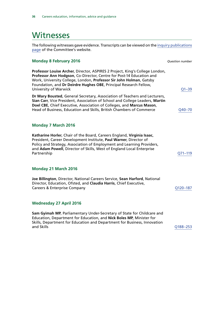### <span id="page-41-0"></span>**Witnesses**

The following witnesses gave evidence. Transcripts can be viewed on the [inquiry publications](http://www.parliament.uk/business/committees/committees-a-z/commons-select/education-skills-and-economy/inquiries/parliament-2015/careers-advice-15-16/) [page](http://www.parliament.uk/business/committees/committees-a-z/commons-select/education-skills-and-economy/inquiries/parliament-2015/careers-advice-15-16/) of the Committee's website.

| <b>Monday 8 February 2016</b>                                                                                                                                                                                                                                                                                             | <b>Question number</b> |
|---------------------------------------------------------------------------------------------------------------------------------------------------------------------------------------------------------------------------------------------------------------------------------------------------------------------------|------------------------|
| Professor Louise Archer, Director, ASPIRES 2 Project, King's College London,<br>Professor Ann Hodgson, Co-Director, Centre for Post-14 Education and<br>Work, University College, London, Professor Sir John Holman, Gatsby<br>Foundation, and Dr Deirdre Hughes OBE, Principal Research Fellow,<br>University of Warwick | $Q1 - 39$              |
| Dr Mary Bousted, General Secretary, Association of Teachers and Lecturers,<br>Sian Carr, Vice President, Association of School and College Leaders, Martin<br>Doel CBE, Chief Executive, Association of Colleges, and Marcus Mason,<br>Head of Business, Education and Skills, British Chambers of Commerce               | Q40-70                 |
| <b>Monday 7 March 2016</b>                                                                                                                                                                                                                                                                                                |                        |
| Katharine Horler, Chair of the Board, Careers England, Virginia Isaac,<br>President, Career Development Institute, Paul Warner, Director of<br>Policy and Strategy, Association of Employment and Learning Providers,<br>and Adam Powell, Director of Skills, West of England Local Enterprise<br>Partnership             | $Q71 - 119$            |
| Monday 21 March 2016                                                                                                                                                                                                                                                                                                      |                        |
| Joe Billington, Director, National Careers Service, Sean Harford, National<br>Director, Education, Ofsted, and Claudia Harris, Chief Executive,<br><b>Careers &amp; Enterprise Company</b>                                                                                                                                | Q120-187               |
| <b>Wednesday 27 April 2016</b>                                                                                                                                                                                                                                                                                            |                        |
| Sam Gyimah MP, Parliamentary Under-Secretary of State for Childcare and<br>Education, Department for Education, and Nick Boles MP, Minister for<br>Skills, Department for Education and Department for Business, Innovation<br>and Skills                                                                                 | Q188-253               |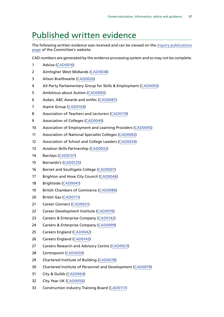### <span id="page-42-0"></span>Published written evidence

The following written evidence was received and can be viewed on the [inquiry publications](http://www.parliament.uk/business/committees/committees-a-z/commons-select/education-skills-and-economy/inquiries/parliament-2015/careers-advice-15-16/publications/) [page](http://www.parliament.uk/business/committees/committees-a-z/commons-select/education-skills-and-economy/inquiries/parliament-2015/careers-advice-15-16/publications/) of the Committee's website.

CAD numbers are generated by the evidence processing system and so may not be complete.

- Adviza [\(CAD0016](http://data.parliament.uk/WrittenEvidence/CommitteeEvidence.svc/EvidenceDocument/SubCommittee%20on%20Education,%20Skills%20and%20the%20Economy/Careers%20advice,%20information%20and%20guidance/written/26906.html))
- Aimhigher West Midlands [\(CAD0038\)](http://data.parliament.uk/WrittenEvidence/CommitteeEvidence.svc/EvidenceDocument/SubCommittee%20on%20Education,%20Skills%20and%20the%20Economy/Careers%20advice,%20information%20and%20guidance/written/27033.html)
- Alison Braithwaite [\(CAD0020](http://data.parliament.uk/WrittenEvidence/CommitteeEvidence.svc/EvidenceDocument/SubCommittee%20on%20Education,%20Skills%20and%20the%20Economy/Careers%20advice,%20information%20and%20guidance/written/26956.html))
- All-Party Parliamentary Group for Skills & Employment [\(CAD0093\)](http://data.parliament.uk/WrittenEvidence/CommitteeEvidence.svc/EvidenceDocument/SubCommittee%20on%20Education,%20Skills%20and%20the%20Economy/Careers%20advice,%20information%20and%20guidance/written/27105.html)
- Ambitious about Autism [\(CAD0083\)](http://data.parliament.uk/WrittenEvidence/CommitteeEvidence.svc/EvidenceDocument/SubCommittee%20on%20Education,%20Skills%20and%20the%20Economy/Careers%20advice,%20information%20and%20guidance/written/27095.html)
- Asdan, ABC Awards and emfec ([CAD0087\)](http://data.parliament.uk/WrittenEvidence/CommitteeEvidence.svc/EvidenceDocument/SubCommittee%20on%20Education,%20Skills%20and%20the%20Economy/Careers%20advice,%20information%20and%20guidance/written/27099.html)
- Aspire Group [\(CAD0104\)](http://data.parliament.uk/WrittenEvidence/CommitteeEvidence.svc/EvidenceDocument/SubCommittee%20on%20Education,%20Skills%20and%20the%20Economy/Careers%20advice,%20information%20and%20guidance/written/27123.html)
- Association of Teachers and Lecturers [\(CAD0119\)](http://data.parliament.uk/WrittenEvidence/CommitteeEvidence.svc/EvidenceDocument/SubCommittee%20on%20Education,%20Skills%20and%20the%20Economy/Careers%20advice,%20information%20and%20guidance/written/27152.html)
- Association of Colleges [\(CAD0049](http://data.parliament.uk/WrittenEvidence/CommitteeEvidence.svc/EvidenceDocument/SubCommittee%20on%20Education,%20Skills%20and%20the%20Economy/Careers%20advice,%20information%20and%20guidance/written/27052.html))
- Association of Employment and Learning Providers [\(CAD0045\)](http://data.parliament.uk/WrittenEvidence/CommitteeEvidence.svc/EvidenceDocument/SubCommittee%20on%20Education,%20Skills%20and%20the%20Economy/Careers%20advice,%20information%20and%20guidance/written/27047.html)
- Association of National Specialist Colleges [\(CAD0082](http://data.parliament.uk/WrittenEvidence/CommitteeEvidence.svc/EvidenceDocument/SubCommittee%20on%20Education,%20Skills%20and%20the%20Economy/Careers%20advice,%20information%20and%20guidance/written/27093.html))
- Association of School and College Leaders [\(CAD0034](http://data.parliament.uk/WrittenEvidence/CommitteeEvidence.svc/EvidenceDocument/SubCommittee%20on%20Education,%20Skills%20and%20the%20Economy/Careers%20advice,%20information%20and%20guidance/written/27006.html))
- Aviation Skills Partnership [\(CAD0032](http://data.parliament.uk/WrittenEvidence/CommitteeEvidence.svc/EvidenceDocument/SubCommittee%20on%20Education,%20Skills%20and%20the%20Economy/Careers%20advice,%20information%20and%20guidance/written/27003.html))
- Barclays [\(CAD0137](http://data.parliament.uk/WrittenEvidence/CommitteeEvidence.svc/EvidenceDocument/SubCommittee%20on%20Education,%20Skills%20and%20the%20Economy/Careers%20advice,%20information%20and%20guidance/written/28371.html))
- Barnardo's [\(CAD0125\)](http://data.parliament.uk/WrittenEvidence/CommitteeEvidence.svc/EvidenceDocument/SubCommittee%20on%20Education,%20Skills%20and%20the%20Economy/Careers%20advice,%20information%20and%20guidance/written/27160.html)
- Barnet and Southgate College ([CAD0007\)](http://data.parliament.uk/WrittenEvidence/CommitteeEvidence.svc/EvidenceDocument/SubCommittee%20on%20Education,%20Skills%20and%20the%20Economy/Careers%20advice,%20information%20and%20guidance/written/26647.html)
- 17 Brighton and Hove City Council [\(CAD0046](http://data.parliament.uk/WrittenEvidence/CommitteeEvidence.svc/EvidenceDocument/SubCommittee%20on%20Education,%20Skills%20and%20the%20Economy/Careers%20advice,%20information%20and%20guidance/written/27048.html))
- Brightside [\(CAD0041\)](http://data.parliament.uk/WrittenEvidence/CommitteeEvidence.svc/EvidenceDocument/SubCommittee%20on%20Education,%20Skills%20and%20the%20Economy/Careers%20advice,%20information%20and%20guidance/written/27036.html)
- British Chambers of Commerce [\(CAD0080\)](http://data.parliament.uk/WrittenEvidence/CommitteeEvidence.svc/EvidenceDocument/SubCommittee%20on%20Education,%20Skills%20and%20the%20Economy/Careers%20advice,%20information%20and%20guidance/written/27091.html)
- British Gas [\(CAD0111](http://data.parliament.uk/WrittenEvidence/CommitteeEvidence.svc/EvidenceDocument/SubCommittee%20on%20Education,%20Skills%20and%20the%20Economy/Careers%20advice,%20information%20and%20guidance/written/27134.html))
- Career Connect [\(CAD0021\)](http://data.parliament.uk/WrittenEvidence/CommitteeEvidence.svc/EvidenceDocument/SubCommittee%20on%20Education,%20Skills%20and%20the%20Economy/Careers%20advice,%20information%20and%20guidance/written/26960.html)
- Career Development Institute [\(CAD0076\)](http://data.parliament.uk/WrittenEvidence/CommitteeEvidence.svc/EvidenceDocument/SubCommittee%20on%20Education,%20Skills%20and%20the%20Economy/Careers%20advice,%20information%20and%20guidance/written/27086.html)
- Careers & Enterprise Company [\(CAD0142](http://data.parliament.uk/WrittenEvidence/CommitteeEvidence.svc/EvidenceDocument/SubCommittee%20on%20Education,%20Skills%20and%20the%20Economy/Careers%20advice,%20information%20and%20guidance/written/32460.html))
- Careers & Enterprise Company [\(CAD0099](http://data.parliament.uk/WrittenEvidence/CommitteeEvidence.svc/EvidenceDocument/SubCommittee%20on%20Education,%20Skills%20and%20the%20Economy/Careers%20advice,%20information%20and%20guidance/written/27116.html))
- Careers England [\(CAD0042](http://data.parliament.uk/WrittenEvidence/CommitteeEvidence.svc/EvidenceDocument/SubCommittee%20on%20Education,%20Skills%20and%20the%20Economy/Careers%20advice,%20information%20and%20guidance/written/27037.html))
- Careers England [\(CAD0143](http://data.parliament.uk/WrittenEvidence/CommitteeEvidence.svc/EvidenceDocument/SubCommittee%20on%20Education,%20Skills%20and%20the%20Economy/Careers%20advice,%20information%20and%20guidance/written/32877.html))
- Careers Research and Advisory Centre ([CAD0023](http://data.parliament.uk/WrittenEvidence/CommitteeEvidence.svc/EvidenceDocument/SubCommittee%20on%20Education,%20Skills%20and%20the%20Economy/Careers%20advice,%20information%20and%20guidance/written/26979.html))
- Centrepoint ([CAD0030\)](http://data.parliament.uk/WrittenEvidence/CommitteeEvidence.svc/EvidenceDocument/SubCommittee%20on%20Education,%20Skills%20and%20the%20Economy/Careers%20advice,%20information%20and%20guidance/written/26999.html)
- Chartered Institute of Building [\(CAD0078](http://data.parliament.uk/WrittenEvidence/CommitteeEvidence.svc/EvidenceDocument/SubCommittee%20on%20Education,%20Skills%20and%20the%20Economy/Careers%20advice,%20information%20and%20guidance/written/27089.html))
- Chartered Institute of Personnel and Development [\(CAD0079](http://data.parliament.uk/WrittenEvidence/CommitteeEvidence.svc/EvidenceDocument/SubCommittee%20on%20Education,%20Skills%20and%20the%20Economy/Careers%20advice,%20information%20and%20guidance/written/27090.html))
- City & Guilds [\(CAD0064](http://data.parliament.uk/WrittenEvidence/CommitteeEvidence.svc/EvidenceDocument/SubCommittee%20on%20Education,%20Skills%20and%20the%20Economy/Careers%20advice,%20information%20and%20guidance/written/27073.html))
- City Year UK [\(CAD0056\)](http://data.parliament.uk/WrittenEvidence/CommitteeEvidence.svc/EvidenceDocument/SubCommittee%20on%20Education,%20Skills%20and%20the%20Economy/Careers%20advice,%20information%20and%20guidance/written/27062.html)
- Construction Industry Training Board [\(CAD0117](http://data.parliament.uk/WrittenEvidence/CommitteeEvidence.svc/EvidenceDocument/SubCommittee%20on%20Education,%20Skills%20and%20the%20Economy/Careers%20advice,%20information%20and%20guidance/written/27146.html))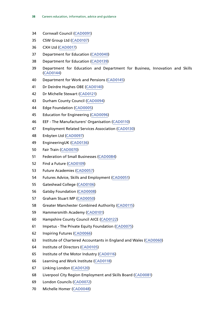- Cornwall Council [\(CAD0091](http://data.parliament.uk/WrittenEvidence/CommitteeEvidence.svc/EvidenceDocument/SubCommittee%20on%20Education,%20Skills%20and%20the%20Economy/Careers%20advice,%20information%20and%20guidance/written/27103.html))
- CSW Group Ltd ([CAD0107\)](http://data.parliament.uk/WrittenEvidence/CommitteeEvidence.svc/EvidenceDocument/SubCommittee%20on%20Education,%20Skills%20and%20the%20Economy/Careers%20advice,%20information%20and%20guidance/written/27127.html)
- CXH Ltd [\(CAD0017](http://data.parliament.uk/WrittenEvidence/CommitteeEvidence.svc/EvidenceDocument/SubCommittee%20on%20Education,%20Skills%20and%20the%20Economy/Careers%20advice,%20information%20and%20guidance/written/26928.html))
- Department for Education [\(CAD0040](http://data.parliament.uk/WrittenEvidence/CommitteeEvidence.svc/EvidenceDocument/SubCommittee%20on%20Education,%20Skills%20and%20the%20Economy/Careers%20advice,%20information%20and%20guidance/written/27035.html))
- Department for Education [\(CAD0139\)](http://data.parliament.uk/WrittenEvidence/CommitteeEvidence.svc/EvidenceDocument/SubCommittee%20on%20Education,%20Skills%20and%20the%20Economy/Careers%20advice,%20information%20and%20guidance/written/28849.html)
- Department for Education and Department for Business, Innovation and Skills ([CAD0144\)](http://data.parliament.uk/WrittenEvidence/CommitteeEvidence.svc/EvidenceDocument/SubCommittee%20on%20Education,%20Skills%20and%20the%20Economy/Careers%20advice,%20information%20and%20guidance/written/33338.html)
- Department for Work and Pensions [\(CAD0145](http://data.parliament.uk/WrittenEvidence/CommitteeEvidence.svc/EvidenceDocument/SubCommittee%20on%20Education,%20Skills%20and%20the%20Economy/Careers%20advice,%20information%20and%20guidance/written/33974.html))
- Dr Deirdre Hughes OBE ([CAD0140\)](http://data.parliament.uk/WrittenEvidence/CommitteeEvidence.svc/EvidenceDocument/SubCommittee%20on%20Education,%20Skills%20and%20the%20Economy/Careers%20advice,%20information%20and%20guidance/written/30203.html)
- Dr Michelle Stewart [\(CAD0121\)](http://data.parliament.uk/WrittenEvidence/CommitteeEvidence.svc/EvidenceDocument/SubCommittee%20on%20Education,%20Skills%20and%20the%20Economy/Careers%20advice,%20information%20and%20guidance/written/27156.html)
- Durham County Council [\(CAD0094\)](http://data.parliament.uk/WrittenEvidence/CommitteeEvidence.svc/EvidenceDocument/SubCommittee%20on%20Education,%20Skills%20and%20the%20Economy/Careers%20advice,%20information%20and%20guidance/written/27106.html)
- Edge Foundation ([CAD0005\)](http://data.parliament.uk/WrittenEvidence/CommitteeEvidence.svc/EvidenceDocument/SubCommittee%20on%20Education,%20Skills%20and%20the%20Economy/Careers%20advice,%20information%20and%20guidance/written/26598.html)
- Education for Engineering [\(CAD0096\)](http://data.parliament.uk/WrittenEvidence/CommitteeEvidence.svc/EvidenceDocument/SubCommittee%20on%20Education,%20Skills%20and%20the%20Economy/Careers%20advice,%20information%20and%20guidance/written/27111.html)
- EEF The Manufacturers' Organisation [\(CAD0110\)](http://data.parliament.uk/WrittenEvidence/CommitteeEvidence.svc/EvidenceDocument/SubCommittee%20on%20Education,%20Skills%20and%20the%20Economy/Careers%20advice,%20information%20and%20guidance/written/27133.html)
- Employment Related Services Association ([CAD0130](http://data.parliament.uk/WrittenEvidence/CommitteeEvidence.svc/EvidenceDocument/SubCommittee%20on%20Education,%20Skills%20and%20the%20Economy/Careers%20advice,%20information%20and%20guidance/written/27200.html))
- Enbyten Ltd ([CAD0097\)](http://data.parliament.uk/WrittenEvidence/CommitteeEvidence.svc/EvidenceDocument/SubCommittee%20on%20Education,%20Skills%20and%20the%20Economy/Careers%20advice,%20information%20and%20guidance/written/27113.html)
- EngineeringUK [\(CAD0136\)](http://data.parliament.uk/WrittenEvidence/CommitteeEvidence.svc/EvidenceDocument/SubCommittee%20on%20Education,%20Skills%20and%20the%20Economy/Careers%20advice,%20information%20and%20guidance/written/28266.html)
- Fair Train [\(CAD0070\)](http://data.parliament.uk/WrittenEvidence/CommitteeEvidence.svc/EvidenceDocument/SubCommittee%20on%20Education,%20Skills%20and%20the%20Economy/Careers%20advice,%20information%20and%20guidance/written/27080.html)
- Federation of Small Businesses [\(CAD0084](http://data.parliament.uk/WrittenEvidence/CommitteeEvidence.svc/EvidenceDocument/SubCommittee%20on%20Education,%20Skills%20and%20the%20Economy/Careers%20advice,%20information%20and%20guidance/written/27096.html))
- Find a Future [\(CAD0109\)](http://data.parliament.uk/WrittenEvidence/CommitteeEvidence.svc/EvidenceDocument/SubCommittee%20on%20Education,%20Skills%20and%20the%20Economy/Careers%20advice,%20information%20and%20guidance/written/27131.html)
- Future Academies [\(CAD0057\)](http://data.parliament.uk/WrittenEvidence/CommitteeEvidence.svc/EvidenceDocument/SubCommittee%20on%20Education,%20Skills%20and%20the%20Economy/Careers%20advice,%20information%20and%20guidance/written/27063.html)
- Futures Advice, Skills and Employment ([CAD0051\)](http://data.parliament.uk/WrittenEvidence/CommitteeEvidence.svc/EvidenceDocument/SubCommittee%20on%20Education,%20Skills%20and%20the%20Economy/Careers%20advice,%20information%20and%20guidance/written/27056.html)
- Gateshead College [\(CAD0106](http://data.parliament.uk/WrittenEvidence/CommitteeEvidence.svc/EvidenceDocument/SubCommittee%20on%20Education,%20Skills%20and%20the%20Economy/Careers%20advice,%20information%20and%20guidance/written/27125.html))
- Gatsby Foundation [\(CAD0008](http://data.parliament.uk/WrittenEvidence/CommitteeEvidence.svc/EvidenceDocument/SubCommittee%20on%20Education,%20Skills%20and%20the%20Economy/Careers%20advice,%20information%20and%20guidance/written/26681.html))
- Graham Stuart MP ([CAD0050\)](http://data.parliament.uk/WrittenEvidence/CommitteeEvidence.svc/EvidenceDocument/SubCommittee%20on%20Education,%20Skills%20and%20the%20Economy/Careers%20advice,%20information%20and%20guidance/written/27055.html)
- Greater Manchester Combined Authority [\(CAD0115\)](http://data.parliament.uk/WrittenEvidence/CommitteeEvidence.svc/EvidenceDocument/SubCommittee%20on%20Education,%20Skills%20and%20the%20Economy/Careers%20advice,%20information%20and%20guidance/written/27142.html)
- Hammersmith Academy [\(CAD0101](http://data.parliament.uk/WrittenEvidence/CommitteeEvidence.svc/EvidenceDocument/SubCommittee%20on%20Education,%20Skills%20and%20the%20Economy/Careers%20advice,%20information%20and%20guidance/written/27118.html))
- Hampshire County Council AICE [\(CAD0122\)](http://data.parliament.uk/WrittenEvidence/CommitteeEvidence.svc/EvidenceDocument/SubCommittee%20on%20Education,%20Skills%20and%20the%20Economy/Careers%20advice,%20information%20and%20guidance/written/27157.html)
- Impetus The Private Equity Foundation ([CAD0075](http://data.parliament.uk/WrittenEvidence/CommitteeEvidence.svc/EvidenceDocument/SubCommittee%20on%20Education,%20Skills%20and%20the%20Economy/Careers%20advice,%20information%20and%20guidance/written/27085.html))
- Inspiring Futures [\(CAD0066\)](http://data.parliament.uk/WrittenEvidence/CommitteeEvidence.svc/EvidenceDocument/SubCommittee%20on%20Education,%20Skills%20and%20the%20Economy/Careers%20advice,%20information%20and%20guidance/written/27075.html)
- Institute of Chartered Accountants in England and Wales [\(CAD0060](http://data.parliament.uk/WrittenEvidence/CommitteeEvidence.svc/EvidenceDocument/SubCommittee%20on%20Education,%20Skills%20and%20the%20Economy/Careers%20advice,%20information%20and%20guidance/written/27069.html))
- Institute of Directors [\(CAD0105](http://data.parliament.uk/WrittenEvidence/CommitteeEvidence.svc/EvidenceDocument/SubCommittee%20on%20Education,%20Skills%20and%20the%20Economy/Careers%20advice,%20information%20and%20guidance/written/27124.html))
- Institute of the Motor Industry [\(CAD0116\)](http://data.parliament.uk/WrittenEvidence/CommitteeEvidence.svc/EvidenceDocument/SubCommittee%20on%20Education,%20Skills%20and%20the%20Economy/Careers%20advice,%20information%20and%20guidance/written/27143.html)
- Learning and Work Institute [\(CAD0118](http://data.parliament.uk/WrittenEvidence/CommitteeEvidence.svc/EvidenceDocument/SubCommittee%20on%20Education,%20Skills%20and%20the%20Economy/Careers%20advice,%20information%20and%20guidance/written/27150.html))
- Linking London [\(CAD0120](http://data.parliament.uk/WrittenEvidence/CommitteeEvidence.svc/EvidenceDocument/SubCommittee%20on%20Education,%20Skills%20and%20the%20Economy/Careers%20advice,%20information%20and%20guidance/written/27153.html))
- Liverpool City Region Employment and Skills Board [\(CAD0081](http://data.parliament.uk/WrittenEvidence/CommitteeEvidence.svc/EvidenceDocument/SubCommittee%20on%20Education,%20Skills%20and%20the%20Economy/Careers%20advice,%20information%20and%20guidance/written/27092.html))
- London Councils [\(CAD0072\)](http://data.parliament.uk/WrittenEvidence/CommitteeEvidence.svc/EvidenceDocument/SubCommittee%20on%20Education,%20Skills%20and%20the%20Economy/Careers%20advice,%20information%20and%20guidance/written/27082.html)
- Michelle Homer ([CAD0048\)](http://data.parliament.uk/WrittenEvidence/CommitteeEvidence.svc/EvidenceDocument/SubCommittee%20on%20Education,%20Skills%20and%20the%20Economy/Careers%20advice,%20information%20and%20guidance/written/27051.html)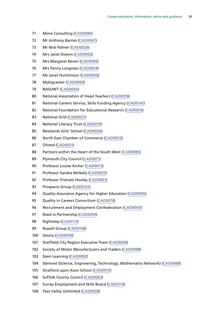- Mime Consulting [\(CAD0086](http://data.parliament.uk/WrittenEvidence/CommitteeEvidence.svc/EvidenceDocument/SubCommittee%20on%20Education,%20Skills%20and%20the%20Economy/Careers%20advice,%20information%20and%20guidance/written/27098.html))
- Mr Anthony Barnes [\(CAD0067](http://data.parliament.uk/WrittenEvidence/CommitteeEvidence.svc/EvidenceDocument/SubCommittee%20on%20Education,%20Skills%20and%20the%20Economy/Careers%20advice,%20information%20and%20guidance/written/27076.html))
- Mr Nick Palmer ([CAD0026](http://data.parliament.uk/WrittenEvidence/CommitteeEvidence.svc/EvidenceDocument/SubCommittee%20on%20Education,%20Skills%20and%20the%20Economy/Careers%20advice,%20information%20and%20guidance/written/26985.html))
- Mrs Janet Downs [\(CAD0003](http://data.parliament.uk/WrittenEvidence/CommitteeEvidence.svc/EvidenceDocument/SubCommittee%20on%20Education,%20Skills%20and%20the%20Economy/Careers%20advice,%20information%20and%20guidance/written/25986.html))
- Mrs Margaret Bevan ([CAD0006](http://data.parliament.uk/WrittenEvidence/CommitteeEvidence.svc/EvidenceDocument/SubCommittee%20on%20Education,%20Skills%20and%20the%20Economy/Careers%20advice,%20information%20and%20guidance/written/26621.html))
- Mrs Penny Longman [\(CAD0054\)](http://data.parliament.uk/WrittenEvidence/CommitteeEvidence.svc/EvidenceDocument/SubCommittee%20on%20Education,%20Skills%20and%20the%20Economy/Careers%20advice,%20information%20and%20guidance/written/27060.html)
- Ms Janet Hutchinson ([CAD0009\)](http://data.parliament.uk/WrittenEvidence/CommitteeEvidence.svc/EvidenceDocument/SubCommittee%20on%20Education,%20Skills%20and%20the%20Economy/Careers%20advice,%20information%20and%20guidance/written/26683.html)
- Mybigcareer [\(CAD0069](http://data.parliament.uk/WrittenEvidence/CommitteeEvidence.svc/EvidenceDocument/SubCommittee%20on%20Education,%20Skills%20and%20the%20Economy/Careers%20advice,%20information%20and%20guidance/written/27079.html))
- NASUWT ([CAD0065\)](http://data.parliament.uk/WrittenEvidence/CommitteeEvidence.svc/EvidenceDocument/SubCommittee%20on%20Education,%20Skills%20and%20the%20Economy/Careers%20advice,%20information%20and%20guidance/written/27074.html)
- National Association of Head Teachers ([CAD0018\)](http://data.parliament.uk/WrittenEvidence/CommitteeEvidence.svc/EvidenceDocument/SubCommittee%20on%20Education,%20Skills%20and%20the%20Economy/Careers%20advice,%20information%20and%20guidance/written/26941.html)
- National Careers Service, Skills Funding Agency [\(CAD0141\)](http://data.parliament.uk/WrittenEvidence/CommitteeEvidence.svc/EvidenceDocument/SubCommittee%20on%20Education,%20Skills%20and%20the%20Economy/Careers%20advice,%20information%20and%20guidance/written/31746.html)
- National Foundation for Educational Research [\(CAD0010](http://data.parliament.uk/WrittenEvidence/CommitteeEvidence.svc/EvidenceDocument/SubCommittee%20on%20Education,%20Skills%20and%20the%20Economy/Careers%20advice,%20information%20and%20guidance/written/26817.html))
- National Grid [\(CAD0037\)](http://data.parliament.uk/WrittenEvidence/CommitteeEvidence.svc/EvidenceDocument/SubCommittee%20on%20Education,%20Skills%20and%20the%20Economy/Careers%20advice,%20information%20and%20guidance/written/27026.html)
- National Literacy Trust [\(CAD0019\)](http://data.parliament.uk/WrittenEvidence/CommitteeEvidence.svc/EvidenceDocument/SubCommittee%20on%20Education,%20Skills%20and%20the%20Economy/Careers%20advice,%20information%20and%20guidance/written/26951.html)
- Newlands Girls' School [\(CAD0036\)](http://data.parliament.uk/WrittenEvidence/CommitteeEvidence.svc/EvidenceDocument/SubCommittee%20on%20Education,%20Skills%20and%20the%20Economy/Careers%20advice,%20information%20and%20guidance/written/27025.html)
- North East Chamber of Commerce ([CAD0053](http://data.parliament.uk/WrittenEvidence/CommitteeEvidence.svc/EvidenceDocument/SubCommittee%20on%20Education,%20Skills%20and%20the%20Economy/Careers%20advice,%20information%20and%20guidance/written/27058.html))
- Ofsted [\(CAD0031](http://data.parliament.uk/WrittenEvidence/CommitteeEvidence.svc/EvidenceDocument/SubCommittee%20on%20Education,%20Skills%20and%20the%20Economy/Careers%20advice,%20information%20and%20guidance/written/27002.html))
- Partners within the Heart of the South West [\(CAD0085\)](http://data.parliament.uk/WrittenEvidence/CommitteeEvidence.svc/EvidenceDocument/SubCommittee%20on%20Education,%20Skills%20and%20the%20Economy/Careers%20advice,%20information%20and%20guidance/written/27097.html)
- Plymouth City Council [\(CAD0071\)](http://data.parliament.uk/WrittenEvidence/CommitteeEvidence.svc/EvidenceDocument/SubCommittee%20on%20Education,%20Skills%20and%20the%20Economy/Careers%20advice,%20information%20and%20guidance/written/27081.html)
- Professor Louise Archer [\(CAD0013\)](http://data.parliament.uk/WrittenEvidence/CommitteeEvidence.svc/EvidenceDocument/SubCommittee%20on%20Education,%20Skills%20and%20the%20Economy/Careers%20advice,%20information%20and%20guidance/written/26872.html)
- 91 Professor Sandra McNally ([CAD0025](http://data.parliament.uk/WrittenEvidence/CommitteeEvidence.svc/EvidenceDocument/SubCommittee%20on%20Education,%20Skills%20and%20the%20Economy/Careers%20advice,%20information%20and%20guidance/written/26984.html))
- Professor Tristram Hooley [\(CAD0001](http://data.parliament.uk/WrittenEvidence/CommitteeEvidence.svc/EvidenceDocument/SubCommittee%20on%20Education,%20Skills%20and%20the%20Economy/Careers%20advice,%20information%20and%20guidance/written/25775.html))
- Prospects Group [\(CAD0131\)](http://data.parliament.uk/WrittenEvidence/CommitteeEvidence.svc/EvidenceDocument/SubCommittee%20on%20Education,%20Skills%20and%20the%20Economy/Careers%20advice,%20information%20and%20guidance/written/27269.html)
- Quality Assurance Agency for Higher Education [\(CAD0095](http://data.parliament.uk/WrittenEvidence/CommitteeEvidence.svc/EvidenceDocument/SubCommittee%20on%20Education,%20Skills%20and%20the%20Economy/Careers%20advice,%20information%20and%20guidance/written/27107.html))
- 95 Quality in Careers Consortium [\(CAD0074](http://data.parliament.uk/WrittenEvidence/CommitteeEvidence.svc/EvidenceDocument/SubCommittee%20on%20Education,%20Skills%20and%20the%20Economy/Careers%20advice,%20information%20and%20guidance/written/27084.html))
- Recruitment and Employment Confederation [\(CAD0043](http://data.parliament.uk/WrittenEvidence/CommitteeEvidence.svc/EvidenceDocument/SubCommittee%20on%20Education,%20Skills%20and%20the%20Economy/Careers%20advice,%20information%20and%20guidance/written/27040.html))
- Reed in Partnership [\(CAD0004\)](http://data.parliament.uk/WrittenEvidence/CommitteeEvidence.svc/EvidenceDocument/SubCommittee%20on%20Education,%20Skills%20and%20the%20Economy/Careers%20advice,%20information%20and%20guidance/written/26451.html)
- Rightstep [\(CAD0113\)](http://data.parliament.uk/WrittenEvidence/CommitteeEvidence.svc/EvidenceDocument/SubCommittee%20on%20Education,%20Skills%20and%20the%20Economy/Careers%20advice,%20information%20and%20guidance/written/27140.html)
- Russell Group [\(CAD0108](http://data.parliament.uk/WrittenEvidence/CommitteeEvidence.svc/EvidenceDocument/SubCommittee%20on%20Education,%20Skills%20and%20the%20Economy/Careers%20advice,%20information%20and%20guidance/written/27128.html))
- Semta ([CAD0059](http://data.parliament.uk/WrittenEvidence/CommitteeEvidence.svc/EvidenceDocument/SubCommittee%20on%20Education,%20Skills%20and%20the%20Economy/Careers%20advice,%20information%20and%20guidance/written/27065.html))
- Sheffield City Region Executive Team [\(CAD0058\)](http://data.parliament.uk/WrittenEvidence/CommitteeEvidence.svc/EvidenceDocument/SubCommittee%20on%20Education,%20Skills%20and%20the%20Economy/Careers%20advice,%20information%20and%20guidance/written/27064.html)
- Society of Motor Manufacturers and Traders [\(CAD0098](http://data.parliament.uk/WrittenEvidence/CommitteeEvidence.svc/EvidenceDocument/SubCommittee%20on%20Education,%20Skills%20and%20the%20Economy/Careers%20advice,%20information%20and%20guidance/written/27115.html))
- Stem Learning ([CAD0092](http://data.parliament.uk/WrittenEvidence/CommitteeEvidence.svc/EvidenceDocument/SubCommittee%20on%20Education,%20Skills%20and%20the%20Economy/Careers%20advice,%20information%20and%20guidance/written/27104.html))
- Stemnet (Science, Engineering, Technology, Mathematics Network) [\(CAD0068](http://data.parliament.uk/WrittenEvidence/CommitteeEvidence.svc/EvidenceDocument/SubCommittee%20on%20Education,%20Skills%20and%20the%20Economy/Careers%20advice,%20information%20and%20guidance/written/27078.html))
- Stratford upon Avon School ([CAD0015\)](http://data.parliament.uk/WrittenEvidence/CommitteeEvidence.svc/EvidenceDocument/SubCommittee%20on%20Education,%20Skills%20and%20the%20Economy/Careers%20advice,%20information%20and%20guidance/written/26904.html)
- Suffolk County Council ([CAD0063\)](http://data.parliament.uk/WrittenEvidence/CommitteeEvidence.svc/EvidenceDocument/SubCommittee%20on%20Education,%20Skills%20and%20the%20Economy/Careers%20advice,%20information%20and%20guidance/written/27072.html)
- Surrey Employment and Skills Board [\(CAD0114](http://data.parliament.uk/WrittenEvidence/CommitteeEvidence.svc/EvidenceDocument/SubCommittee%20on%20Education,%20Skills%20and%20the%20Economy/Careers%20advice,%20information%20and%20guidance/written/27141.html))
- Tees Valley Unlimited [\(CAD0028\)](http://data.parliament.uk/WrittenEvidence/CommitteeEvidence.svc/EvidenceDocument/SubCommittee%20on%20Education,%20Skills%20and%20the%20Economy/Careers%20advice,%20information%20and%20guidance/written/26992.html)